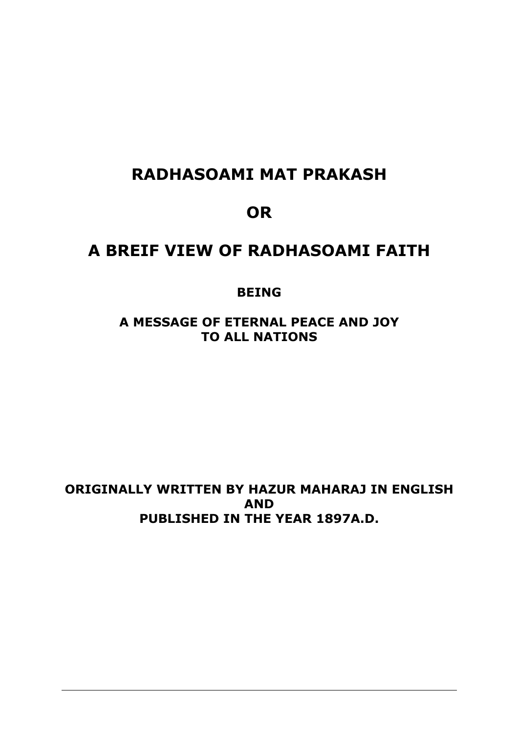# **RADHASOAMI MAT PRAKASH**

# **OR**

# **A BREIF VIEW OF RADHASOAMI FAITH**

# **BEING**

**A MESSAGE OF ETERNAL PEACE AND JOY TO ALL NATIONS**

**ORIGINALLY WRITTEN BY HAZUR MAHARAJ IN ENGLISH AND PUBLISHED IN THE YEAR 1897A.D.**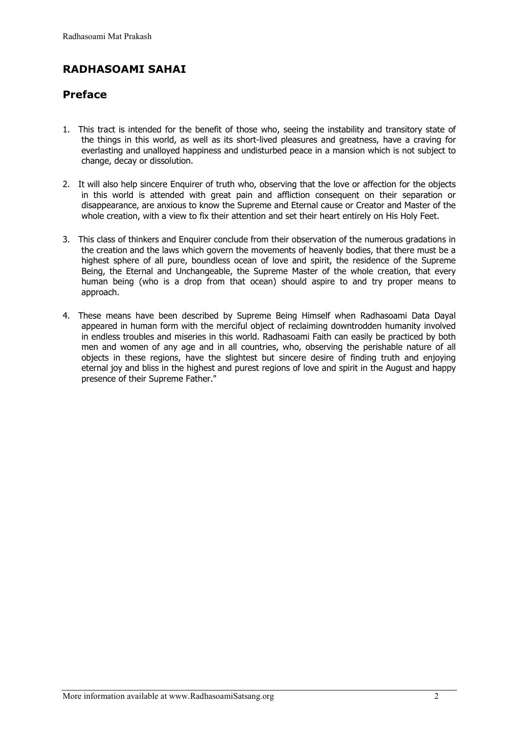# **RADHASOAMI SAHAI**

# **Preface**

- 1. This tract is intended for the benefit of those who, seeing the instability and transitory state of the things in this world, as well as its short-lived pleasures and greatness, have a craving for everlasting and unalloyed happiness and undisturbed peace in a mansion which is not subject to change, decay or dissolution.
- 2. It will also help sincere Enquirer of truth who, observing that the love or affection for the objects in this world is attended with great pain and affliction consequent on their separation or disappearance, are anxious to know the Supreme and Eternal cause or Creator and Master of the whole creation, with a view to fix their attention and set their heart entirely on His Holy Feet.
- 3. This class of thinkers and Enquirer conclude from their observation of the numerous gradations in the creation and the laws which govern the movements of heavenly bodies, that there must be a highest sphere of all pure, boundless ocean of love and spirit, the residence of the Supreme Being, the Eternal and Unchangeable, the Supreme Master of the whole creation, that every human being (who is a drop from that ocean) should aspire to and try proper means to approach.
- 4. These means have been described by Supreme Being Himself when Radhasoami Data Dayal appeared in human form with the merciful object of reclaiming downtrodden humanity involved in endless troubles and miseries in this world. Radhasoami Faith can easily be practiced by both men and women of any age and in all countries, who, observing the perishable nature of all objects in these regions, have the slightest but sincere desire of finding truth and enjoying eternal joy and bliss in the highest and purest regions of love and spirit in the August and happy presence of their Supreme Father."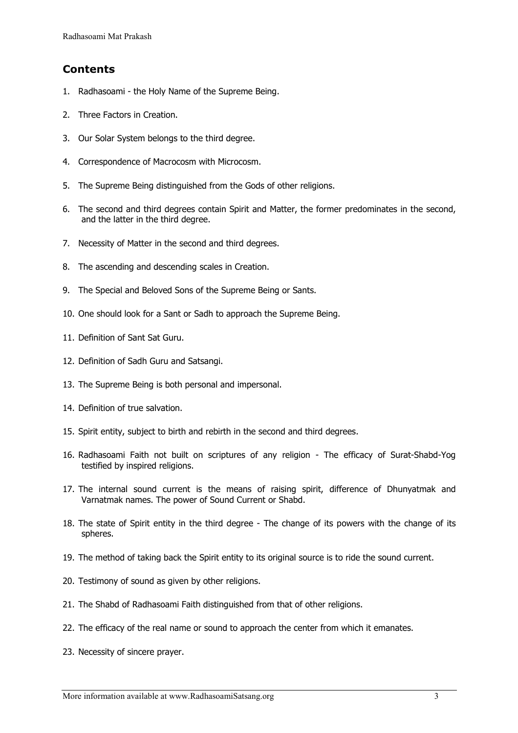# **Contents**

- 1. Radhasoami the Holy Name of the Supreme Being.
- 2. Three Factors in Creation.
- 3. Our Solar System belongs to the third degree.
- 4. Correspondence of Macrocosm with Microcosm.
- 5. The Supreme Being distinguished from the Gods of other religions.
- 6. The second and third degrees contain Spirit and Matter, the former predominates in the second, and the latter in the third degree.
- 7. Necessity of Matter in the second and third degrees.
- 8. The ascending and descending scales in Creation.
- 9. The Special and Beloved Sons of the Supreme Being or Sants.
- 10. One should look for a Sant or Sadh to approach the Supreme Being.
- 11. Definition of Sant Sat Guru.
- 12. Definition of Sadh Guru and Satsangi.
- 13. The Supreme Being is both personal and impersonal.
- 14. Definition of true salvation.
- 15. Spirit entity, subject to birth and rebirth in the second and third degrees.
- 16. Radhasoami Faith not built on scriptures of any religion The efficacy of Surat-Shabd-Yog testified by inspired religions.
- 17. The internal sound current is the means of raising spirit, difference of Dhunyatmak and Varnatmak names. The power of Sound Current or Shabd.
- 18. The state of Spirit entity in the third degree The change of its powers with the change of its spheres.
- 19. The method of taking back the Spirit entity to its original source is to ride the sound current.
- 20. Testimony of sound as given by other religions.
- 21. The Shabd of Radhasoami Faith distinguished from that of other religions.
- 22. The efficacy of the real name or sound to approach the center from which it emanates.
- 23. Necessity of sincere prayer.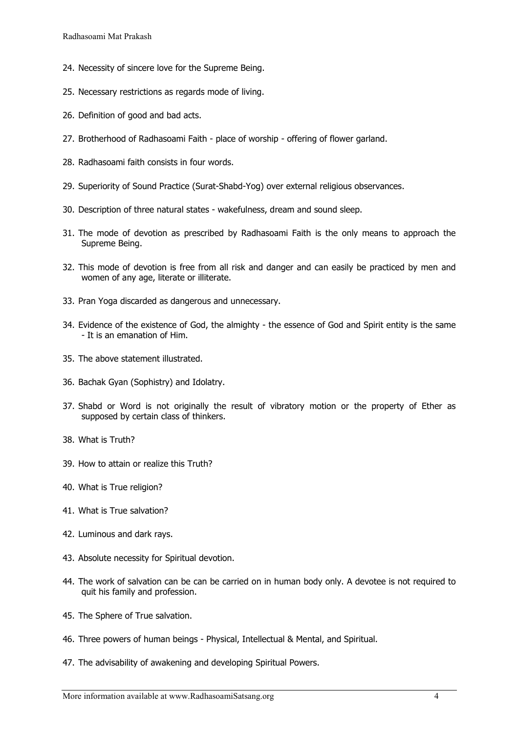- 24. Necessity of sincere love for the Supreme Being.
- 25. Necessary restrictions as regards mode of living.
- 26. Definition of good and bad acts.
- 27. Brotherhood of Radhasoami Faith place of worship offering of flower garland.
- 28. Radhasoami faith consists in four words.
- 29. Superiority of Sound Practice (Surat-Shabd-Yog) over external religious observances.
- 30. Description of three natural states wakefulness, dream and sound sleep.
- 31. The mode of devotion as prescribed by Radhasoami Faith is the only means to approach the Supreme Being.
- 32. This mode of devotion is free from all risk and danger and can easily be practiced by men and women of any age, literate or illiterate.
- 33. Pran Yoga discarded as dangerous and unnecessary.
- 34. Evidence of the existence of God, the almighty the essence of God and Spirit entity is the same - It is an emanation of Him.
- 35. The above statement illustrated.
- 36. Bachak Gyan (Sophistry) and Idolatry.
- 37. Shabd or Word is not originally the result of vibratory motion or the property of Ether as supposed by certain class of thinkers.
- 38. What is Truth?
- 39. How to attain or realize this Truth?
- 40. What is True religion?
- 41. What is True salvation?
- 42. Luminous and dark rays.
- 43. Absolute necessity for Spiritual devotion.
- 44. The work of salvation can be can be carried on in human body only. A devotee is not required to quit his family and profession.
- 45. The Sphere of True salvation.
- 46. Three powers of human beings Physical, Intellectual & Mental, and Spiritual.
- 47. The advisability of awakening and developing Spiritual Powers.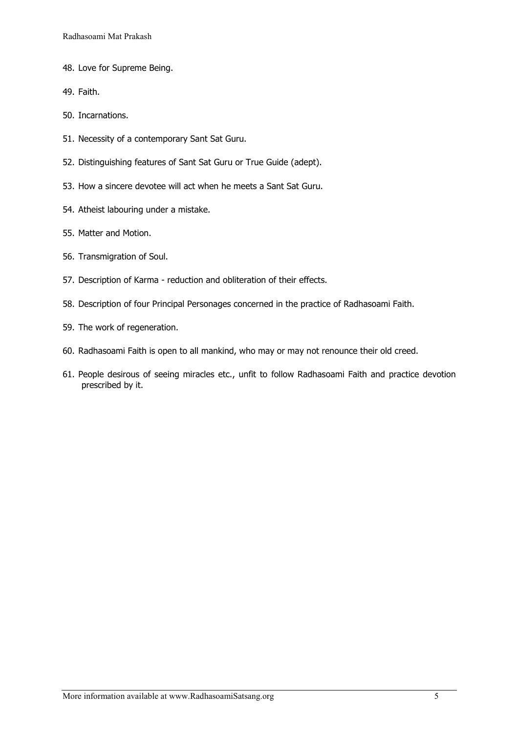Radhasoami Mat Prakash

- 48. Love for Supreme Being.
- 49. Faith.
- 50. Incarnations.
- 51. Necessity of a contemporary Sant Sat Guru.
- 52. Distinguishing features of Sant Sat Guru or True Guide (adept).
- 53. How a sincere devotee will act when he meets a Sant Sat Guru.
- 54. Atheist labouring under a mistake.
- 55. Matter and Motion.
- 56. Transmigration of Soul.
- 57. Description of Karma reduction and obliteration of their effects.
- 58. Description of four Principal Personages concerned in the practice of Radhasoami Faith.
- 59. The work of regeneration.
- 60. Radhasoami Faith is open to all mankind, who may or may not renounce their old creed.
- 61. People desirous of seeing miracles etc., unfit to follow Radhasoami Faith and practice devotion prescribed by it.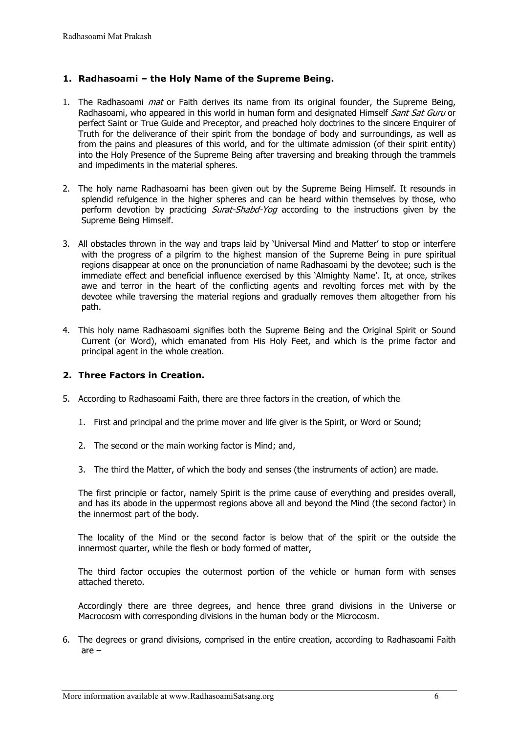# **1. Radhasoami – the Holy Name of the Supreme Being.**

- 1. The Radhasoami *mat* or Faith derives its name from its original founder, the Supreme Being, Radhasoami, who appeared in this world in human form and designated Himself Sant Sat Guru or perfect Saint or True Guide and Preceptor, and preached holy doctrines to the sincere Enquirer of Truth for the deliverance of their spirit from the bondage of body and surroundings, as well as from the pains and pleasures of this world, and for the ultimate admission (of their spirit entity) into the Holy Presence of the Supreme Being after traversing and breaking through the trammels and impediments in the material spheres.
- 2. The holy name Radhasoami has been given out by the Supreme Being Himself. It resounds in splendid refulgence in the higher spheres and can be heard within themselves by those, who perform devotion by practicing *Surat-Shabd-Yog* according to the instructions given by the Supreme Being Himself.
- 3. All obstacles thrown in the way and traps laid by 'Universal Mind and Matter' to stop or interfere with the progress of a pilgrim to the highest mansion of the Supreme Being in pure spiritual regions disappear at once on the pronunciation of name Radhasoami by the devotee; such is the immediate effect and beneficial influence exercised by this 'Almighty Name'. It, at once, strikes awe and terror in the heart of the conflicting agents and revolting forces met with by the devotee while traversing the material regions and gradually removes them altogether from his path.
- 4. This holy name Radhasoami signifies both the Supreme Being and the Original Spirit or Sound Current (or Word), which emanated from His Holy Feet, and which is the prime factor and principal agent in the whole creation.

# **2. Three Factors in Creation.**

- 5. According to Radhasoami Faith, there are three factors in the creation, of which the
	- 1. First and principal and the prime mover and life giver is the Spirit, or Word or Sound;
	- 2. The second or the main working factor is Mind; and,
	- 3. The third the Matter, of which the body and senses (the instruments of action) are made.

The first principle or factor, namely Spirit is the prime cause of everything and presides overall, and has its abode in the uppermost regions above all and beyond the Mind (the second factor) in the innermost part of the body.

The locality of the Mind or the second factor is below that of the spirit or the outside the innermost quarter, while the flesh or body formed of matter,

The third factor occupies the outermost portion of the vehicle or human form with senses attached thereto.

Accordingly there are three degrees, and hence three grand divisions in the Universe or Macrocosm with corresponding divisions in the human body or the Microcosm.

6. The degrees or grand divisions, comprised in the entire creation, according to Radhasoami Faith are –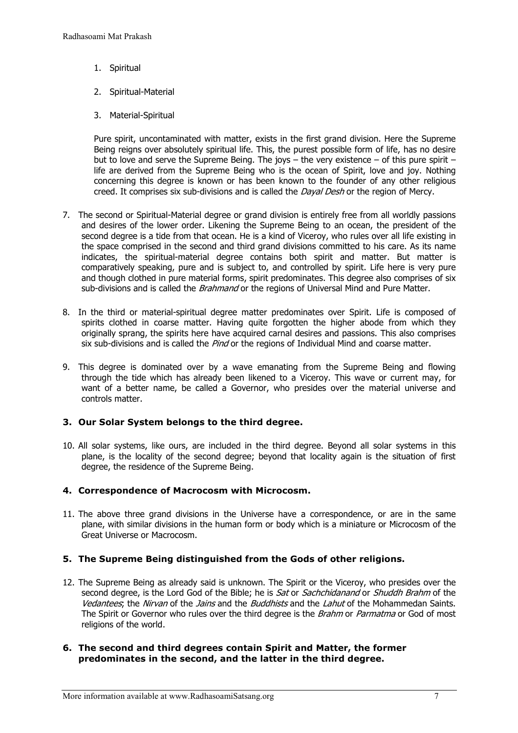- 1. Spiritual
- 2. Spiritual-Material
- 3. Material-Spiritual

Pure spirit, uncontaminated with matter, exists in the first grand division. Here the Supreme Being reigns over absolutely spiritual life. This, the purest possible form of life, has no desire but to love and serve the Supreme Being. The joys – the very existence – of this pure spirit – life are derived from the Supreme Being who is the ocean of Spirit, love and joy. Nothing concerning this degree is known or has been known to the founder of any other religious creed. It comprises six sub-divisions and is called the *Dayal Desh* or the region of Mercy.

- 7. The second or Spiritual-Material degree or grand division is entirely free from all worldly passions and desires of the lower order. Likening the Supreme Being to an ocean, the president of the second degree is a tide from that ocean. He is a kind of Viceroy, who rules over all life existing in the space comprised in the second and third grand divisions committed to his care. As its name indicates, the spiritual-material degree contains both spirit and matter. But matter is comparatively speaking, pure and is subject to, and controlled by spirit. Life here is very pure and though clothed in pure material forms, spirit predominates. This degree also comprises of six sub-divisions and is called the *Brahmand* or the regions of Universal Mind and Pure Matter.
- 8. In the third or material-spiritual degree matter predominates over Spirit. Life is composed of spirits clothed in coarse matter. Having quite forgotten the higher abode from which they originally sprang, the spirits here have acquired carnal desires and passions. This also comprises six sub-divisions and is called the Pind or the regions of Individual Mind and coarse matter.
- 9. This degree is dominated over by a wave emanating from the Supreme Being and flowing through the tide which has already been likened to a Viceroy. This wave or current may, for want of a better name, be called a Governor, who presides over the material universe and controls matter.

# **3. Our Solar System belongs to the third degree.**

10. All solar systems, like ours, are included in the third degree. Beyond all solar systems in this plane, is the locality of the second degree; beyond that locality again is the situation of first degree, the residence of the Supreme Being.

#### **4. Correspondence of Macrocosm with Microcosm.**

11. The above three grand divisions in the Universe have a correspondence, or are in the same plane, with similar divisions in the human form or body which is a miniature or Microcosm of the Great Universe or Macrocosm.

# **5. The Supreme Being distinguished from the Gods of other religions.**

12. The Supreme Being as already said is unknown. The Spirit or the Viceroy, who presides over the second degree, is the Lord God of the Bible; he is Sat or Sachchidanand or Shuddh Brahm of the Vedantees; the Nirvan of the Jains and the Buddhists and the Lahut of the Mohammedan Saints. The Spirit or Governor who rules over the third degree is the Brahm or Parmatma or God of most religions of the world.

#### **6. The second and third degrees contain Spirit and Matter, the former predominates in the second, and the latter in the third degree.**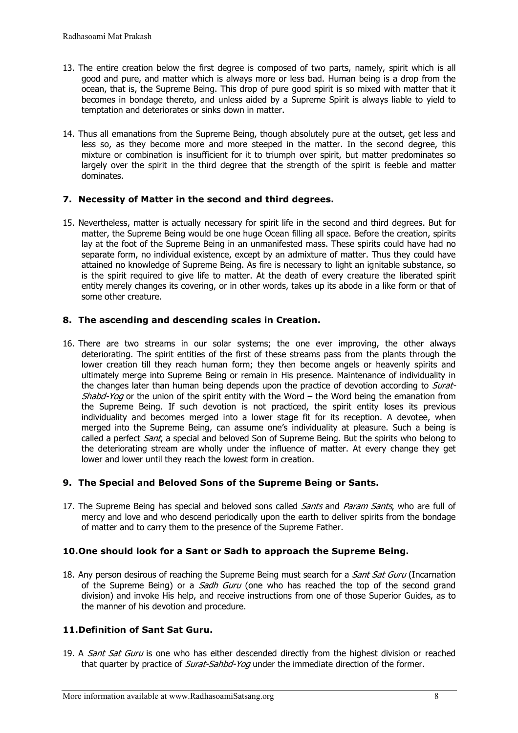- 13. The entire creation below the first degree is composed of two parts, namely, spirit which is all good and pure, and matter which is always more or less bad. Human being is a drop from the ocean, that is, the Supreme Being. This drop of pure good spirit is so mixed with matter that it becomes in bondage thereto, and unless aided by a Supreme Spirit is always liable to yield to temptation and deteriorates or sinks down in matter.
- 14. Thus all emanations from the Supreme Being, though absolutely pure at the outset, get less and less so, as they become more and more steeped in the matter. In the second degree, this mixture or combination is insufficient for it to triumph over spirit, but matter predominates so largely over the spirit in the third degree that the strength of the spirit is feeble and matter dominates.

#### **7. Necessity of Matter in the second and third degrees.**

15. Nevertheless, matter is actually necessary for spirit life in the second and third degrees. But for matter, the Supreme Being would be one huge Ocean filling all space. Before the creation, spirits lay at the foot of the Supreme Being in an unmanifested mass. These spirits could have had no separate form, no individual existence, except by an admixture of matter. Thus they could have attained no knowledge of Supreme Being. As fire is necessary to light an ignitable substance, so is the spirit required to give life to matter. At the death of every creature the liberated spirit entity merely changes its covering, or in other words, takes up its abode in a like form or that of some other creature.

#### **8. The ascending and descending scales in Creation.**

16. There are two streams in our solar systems; the one ever improving, the other always deteriorating. The spirit entities of the first of these streams pass from the plants through the lower creation till they reach human form; they then become angels or heavenly spirits and ultimately merge into Supreme Being or remain in His presence. Maintenance of individuality in the changes later than human being depends upon the practice of devotion according to Surat-Shabd-Yog or the union of the spirit entity with the Word – the Word being the emanation from the Supreme Being. If such devotion is not practiced, the spirit entity loses its previous individuality and becomes merged into a lower stage fit for its reception. A devotee, when merged into the Supreme Being, can assume one's individuality at pleasure. Such a being is called a perfect *Sant*, a special and beloved Son of Supreme Being. But the spirits who belong to the deteriorating stream are wholly under the influence of matter. At every change they get lower and lower until they reach the lowest form in creation.

# **9. The Special and Beloved Sons of the Supreme Being or Sants.**

17. The Supreme Being has special and beloved sons called *Sants* and *Param Sants*, who are full of mercy and love and who descend periodically upon the earth to deliver spirits from the bondage of matter and to carry them to the presence of the Supreme Father.

# **10.One should look for a Sant or Sadh to approach the Supreme Being.**

18. Any person desirous of reaching the Supreme Being must search for a *Sant Sat Guru* (Incarnation of the Supreme Being) or a *Sadh Guru* (one who has reached the top of the second grand division) and invoke His help, and receive instructions from one of those Superior Guides, as to the manner of his devotion and procedure.

# **11.Definition of Sant Sat Guru.**

19. A *Sant Sat Guru* is one who has either descended directly from the highest division or reached that quarter by practice of *Surat-Sahbd-Yog* under the immediate direction of the former.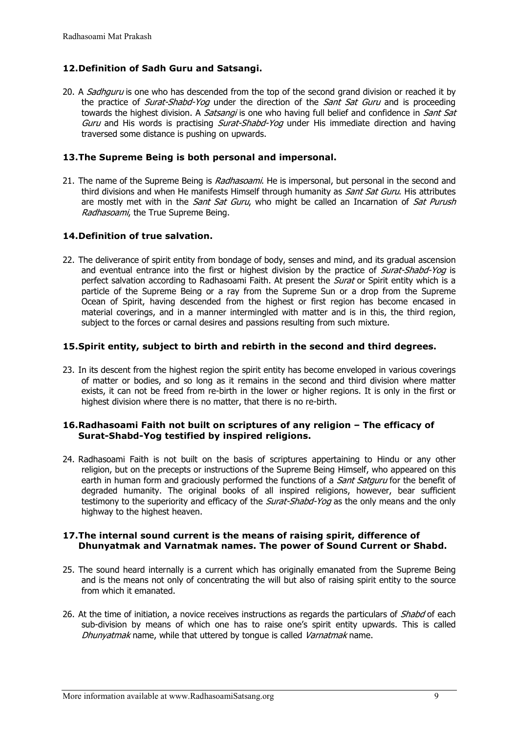# **12.Definition of Sadh Guru and Satsangi.**

20. A *Sadhguru* is one who has descended from the top of the second grand division or reached it by the practice of *Surat-Shabd-Yog* under the direction of the *Sant Sat Guru* and is proceeding towards the highest division. A Satsangi is one who having full belief and confidence in Sant Sat Guru and His words is practising Surat-Shabd-Yog under His immediate direction and having traversed some distance is pushing on upwards.

#### **13.The Supreme Being is both personal and impersonal.**

21. The name of the Supreme Being is Radhasoami. He is impersonal, but personal in the second and third divisions and when He manifests Himself through humanity as *Sant Sat Guru*. His attributes are mostly met with in the Sant Sat Guru, who might be called an Incarnation of Sat Purush Radhasoami, the True Supreme Being.

# **14.Definition of true salvation.**

22. The deliverance of spirit entity from bondage of body, senses and mind, and its gradual ascension and eventual entrance into the first or highest division by the practice of Surat-Shabd-Yog is perfect salvation according to Radhasoami Faith. At present the *Surat* or Spirit entity which is a particle of the Supreme Being or a ray from the Supreme Sun or a drop from the Supreme Ocean of Spirit, having descended from the highest or first region has become encased in material coverings, and in a manner intermingled with matter and is in this, the third region, subject to the forces or carnal desires and passions resulting from such mixture.

#### **15.Spirit entity, subject to birth and rebirth in the second and third degrees.**

23. In its descent from the highest region the spirit entity has become enveloped in various coverings of matter or bodies, and so long as it remains in the second and third division where matter exists, it can not be freed from re-birth in the lower or higher regions. It is only in the first or highest division where there is no matter, that there is no re-birth.

#### **16.Radhasoami Faith not built on scriptures of any religion – The efficacy of Surat-Shabd-Yog testified by inspired religions.**

24. Radhasoami Faith is not built on the basis of scriptures appertaining to Hindu or any other religion, but on the precepts or instructions of the Supreme Being Himself, who appeared on this earth in human form and graciously performed the functions of a *Sant Satguru* for the benefit of degraded humanity. The original books of all inspired religions, however, bear sufficient testimony to the superiority and efficacy of the *Surat-Shabd-Yog* as the only means and the only highway to the highest heaven.

#### **17.The internal sound current is the means of raising spirit, difference of Dhunyatmak and Varnatmak names. The power of Sound Current or Shabd.**

- 25. The sound heard internally is a current which has originally emanated from the Supreme Being and is the means not only of concentrating the will but also of raising spirit entity to the source from which it emanated.
- 26. At the time of initiation, a novice receives instructions as regards the particulars of Shabd of each sub-division by means of which one has to raise one's spirit entity upwards. This is called Dhunyatmak name, while that uttered by tonque is called Varnatmak name.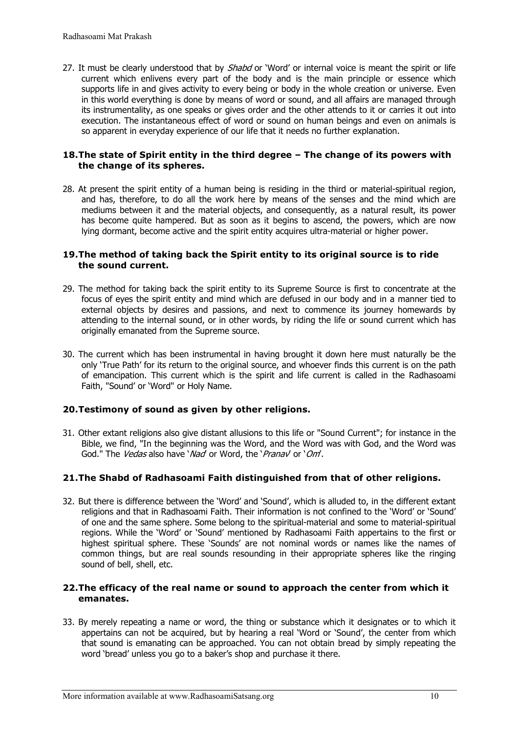27. It must be clearly understood that by *Shabd* or 'Word' or internal voice is meant the spirit or life current which enlivens every part of the body and is the main principle or essence which supports life in and gives activity to every being or body in the whole creation or universe. Even in this world everything is done by means of word or sound, and all affairs are managed through its instrumentality, as one speaks or gives order and the other attends to it or carries it out into execution. The instantaneous effect of word or sound on human beings and even on animals is so apparent in everyday experience of our life that it needs no further explanation.

#### **18.The state of Spirit entity in the third degree – The change of its powers with the change of its spheres.**

28. At present the spirit entity of a human being is residing in the third or material-spiritual region, and has, therefore, to do all the work here by means of the senses and the mind which are mediums between it and the material objects, and consequently, as a natural result, its power has become quite hampered. But as soon as it begins to ascend, the powers, which are now lying dormant, become active and the spirit entity acquires ultra-material or higher power.

#### **19.The method of taking back the Spirit entity to its original source is to ride the sound current.**

- 29. The method for taking back the spirit entity to its Supreme Source is first to concentrate at the focus of eyes the spirit entity and mind which are defused in our body and in a manner tied to external objects by desires and passions, and next to commence its journey homewards by attending to the internal sound, or in other words, by riding the life or sound current which has originally emanated from the Supreme source.
- 30. The current which has been instrumental in having brought it down here must naturally be the only 'True Path' for its return to the original source, and whoever finds this current is on the path of emancipation. This current which is the spirit and life current is called in the Radhasoami Faith, "Sound' or 'Word" or Holy Name.

#### **20.Testimony of sound as given by other religions.**

31. Other extant religions also give distant allusions to this life or "Sound Current"; for instance in the Bible, we find, "In the beginning was the Word, and the Word was with God, and the Word was God." The *Vedas* also have '*Nad* or Word, the '*Pranav*' or '*Om*'.

# **21.The Shabd of Radhasoami Faith distinguished from that of other religions.**

32. But there is difference between the 'Word' and 'Sound', which is alluded to, in the different extant religions and that in Radhasoami Faith. Their information is not confined to the 'Word' or 'Sound' of one and the same sphere. Some belong to the spiritual-material and some to material-spiritual regions. While the 'Word' or 'Sound' mentioned by Radhasoami Faith appertains to the first or highest spiritual sphere. These 'Sounds' are not nominal words or names like the names of common things, but are real sounds resounding in their appropriate spheres like the ringing sound of bell, shell, etc.

#### **22.The efficacy of the real name or sound to approach the center from which it emanates.**

33. By merely repeating a name or word, the thing or substance which it designates or to which it appertains can not be acquired, but by hearing a real 'Word or 'Sound', the center from which that sound is emanating can be approached. You can not obtain bread by simply repeating the word 'bread' unless you go to a baker's shop and purchase it there.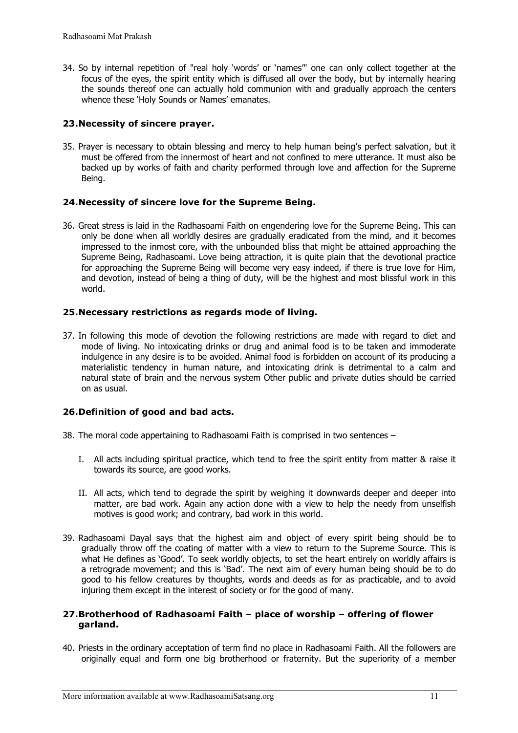34. So by internal repetition of "real holy 'words' or 'names'" one can only collect together at the focus of the eyes, the spirit entity which is diffused all over the body, but by internally hearing the sounds thereof one can actually hold communion with and gradually approach the centers whence these 'Holy Sounds or Names' emanates.

### **23.Necessity of sincere prayer.**

35. Prayer is necessary to obtain blessing and mercy to help human being's perfect salvation, but it must be offered from the innermost of heart and not confined to mere utterance. It must also be backed up by works of faith and charity performed through love and affection for the Supreme Being.

#### **24.Necessity of sincere love for the Supreme Being.**

36. Great stress is laid in the Radhasoami Faith on engendering love for the Supreme Being. This can only be done when all worldly desires are gradually eradicated from the mind, and it becomes impressed to the inmost core, with the unbounded bliss that might be attained approaching the Supreme Being, Radhasoami. Love being attraction, it is quite plain that the devotional practice for approaching the Supreme Being will become very easy indeed, if there is true love for Him, and devotion, instead of being a thing of duty, will be the highest and most blissful work in this world.

#### **25.Necessary restrictions as regards mode of living.**

37. In following this mode of devotion the following restrictions are made with regard to diet and mode of living. No intoxicating drinks or drug and animal food is to be taken and immoderate indulgence in any desire is to be avoided. Animal food is forbidden on account of its producing a materialistic tendency in human nature, and intoxicating drink is detrimental to a calm and natural state of brain and the nervous system Other public and private duties should be carried on as usual.

# **26.Definition of good and bad acts.**

- 38. The moral code appertaining to Radhasoami Faith is comprised in two sentences
	- I. All acts including spiritual practice, which tend to free the spirit entity from matter & raise it towards its source, are good works.
	- II. All acts, which tend to degrade the spirit by weighing it downwards deeper and deeper into matter, are bad work. Again any action done with a view to help the needy from unselfish motives is good work; and contrary, bad work in this world.
- 39. Radhasoami Dayal says that the highest aim and object of every spirit being should be to gradually throw off the coating of matter with a view to return to the Supreme Source. This is what He defines as 'Good'. To seek worldly objects, to set the heart entirely on worldly affairs is a retrograde movement; and this is 'Bad'. The next aim of every human being should be to do good to his fellow creatures by thoughts, words and deeds as for as practicable, and to avoid injuring them except in the interest of society or for the good of many.

#### **27.Brotherhood of Radhasoami Faith – place of worship – offering of flower garland.**

40. Priests in the ordinary acceptation of term find no place in Radhasoami Faith. All the followers are originally equal and form one big brotherhood or fraternity. But the superiority of a member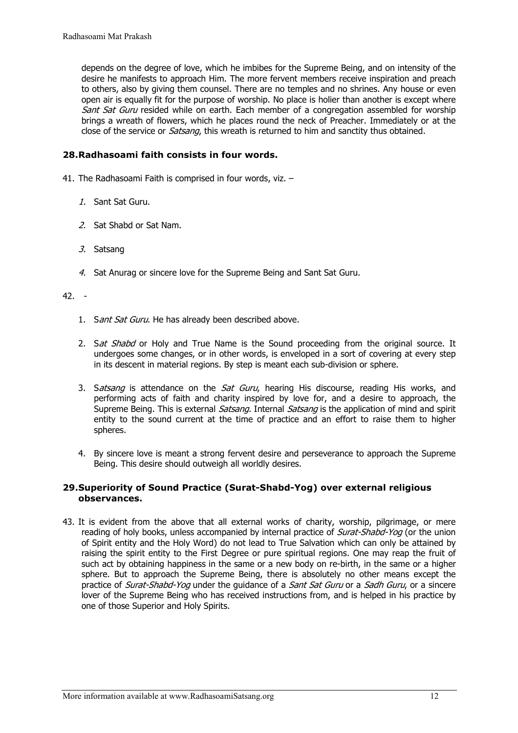depends on the degree of love, which he imbibes for the Supreme Being, and on intensity of the desire he manifests to approach Him. The more fervent members receive inspiration and preach to others, also by giving them counsel. There are no temples and no shrines. Any house or even open air is equally fit for the purpose of worship. No place is holier than another is except where Sant Sat Guru resided while on earth. Each member of a congregation assembled for worship brings a wreath of flowers, which he places round the neck of Preacher. Immediately or at the close of the service or *Satsang*, this wreath is returned to him and sanctity thus obtained.

#### **28.Radhasoami faith consists in four words.**

- 41. The Radhasoami Faith is comprised in four words, viz.
	- 1. Sant Sat Guru.
	- 2. Sat Shabd or Sat Nam.
	- 3. Satsang
	- 4. Sat Anurag or sincere love for the Supreme Being and Sant Sat Guru.

#### 42. -

- 1. Sant Sat Guru. He has already been described above.
- 2. Sat Shabd or Holy and True Name is the Sound proceeding from the original source. It undergoes some changes, or in other words, is enveloped in a sort of covering at every step in its descent in material regions. By step is meant each sub-division or sphere.
- 3. Satsang is attendance on the Sat Guru, hearing His discourse, reading His works, and performing acts of faith and charity inspired by love for, and a desire to approach, the Supreme Being. This is external *Satsang*. Internal *Satsang* is the application of mind and spirit entity to the sound current at the time of practice and an effort to raise them to higher spheres.
- 4. By sincere love is meant a strong fervent desire and perseverance to approach the Supreme Being. This desire should outweigh all worldly desires.

#### **29.Superiority of Sound Practice (Surat-Shabd-Yog) over external religious observances.**

43. It is evident from the above that all external works of charity, worship, pilgrimage, or mere reading of holy books, unless accompanied by internal practice of Surat-Shabd-Yog (or the union of Spirit entity and the Holy Word) do not lead to True Salvation which can only be attained by raising the spirit entity to the First Degree or pure spiritual regions. One may reap the fruit of such act by obtaining happiness in the same or a new body on re-birth, in the same or a higher sphere. But to approach the Supreme Being, there is absolutely no other means except the practice of Surat-Shabd-Yog under the guidance of a Sant Sat Guru or a Sadh Guru, or a sincere lover of the Supreme Being who has received instructions from, and is helped in his practice by one of those Superior and Holy Spirits.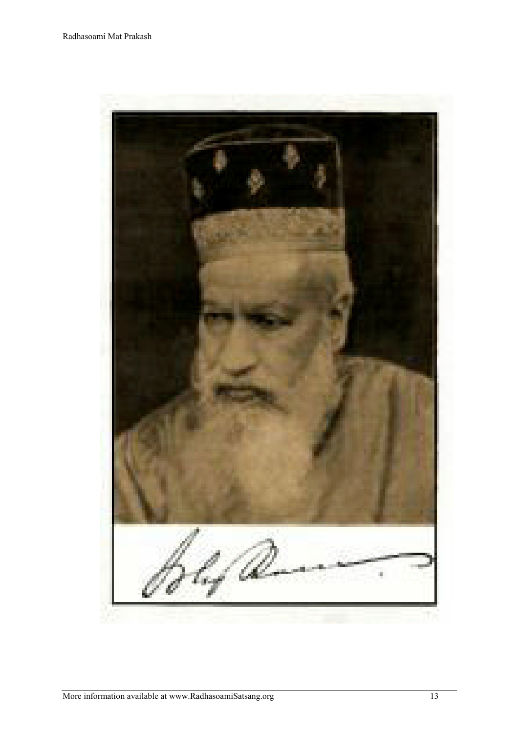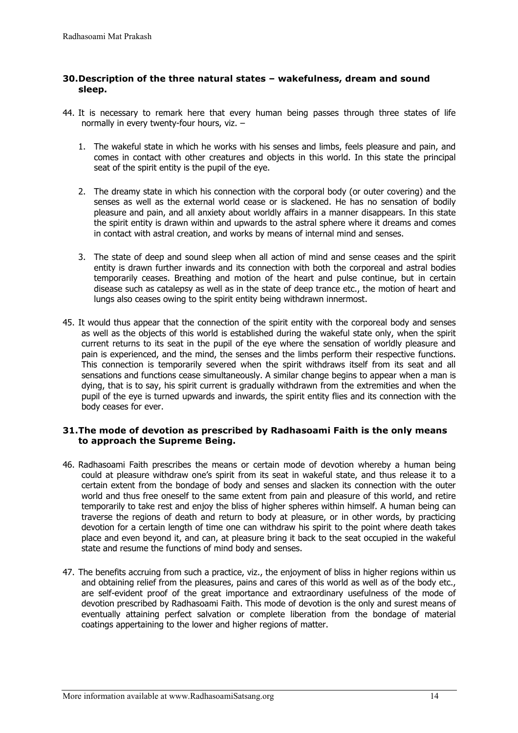#### **30.Description of the three natural states – wakefulness, dream and sound sleep.**

- 44. It is necessary to remark here that every human being passes through three states of life normally in every twenty-four hours, viz. –
	- 1. The wakeful state in which he works with his senses and limbs, feels pleasure and pain, and comes in contact with other creatures and objects in this world. In this state the principal seat of the spirit entity is the pupil of the eye.
	- 2. The dreamy state in which his connection with the corporal body (or outer covering) and the senses as well as the external world cease or is slackened. He has no sensation of bodily pleasure and pain, and all anxiety about worldly affairs in a manner disappears. In this state the spirit entity is drawn within and upwards to the astral sphere where it dreams and comes in contact with astral creation, and works by means of internal mind and senses.
	- 3. The state of deep and sound sleep when all action of mind and sense ceases and the spirit entity is drawn further inwards and its connection with both the corporeal and astral bodies temporarily ceases. Breathing and motion of the heart and pulse continue, but in certain disease such as catalepsy as well as in the state of deep trance etc., the motion of heart and lungs also ceases owing to the spirit entity being withdrawn innermost.
- 45. It would thus appear that the connection of the spirit entity with the corporeal body and senses as well as the objects of this world is established during the wakeful state only, when the spirit current returns to its seat in the pupil of the eye where the sensation of worldly pleasure and pain is experienced, and the mind, the senses and the limbs perform their respective functions. This connection is temporarily severed when the spirit withdraws itself from its seat and all sensations and functions cease simultaneously. A similar change begins to appear when a man is dying, that is to say, his spirit current is gradually withdrawn from the extremities and when the pupil of the eye is turned upwards and inwards, the spirit entity flies and its connection with the body ceases for ever.

#### **31.The mode of devotion as prescribed by Radhasoami Faith is the only means to approach the Supreme Being.**

- 46. Radhasoami Faith prescribes the means or certain mode of devotion whereby a human being could at pleasure withdraw one's spirit from its seat in wakeful state, and thus release it to a certain extent from the bondage of body and senses and slacken its connection with the outer world and thus free oneself to the same extent from pain and pleasure of this world, and retire temporarily to take rest and enjoy the bliss of higher spheres within himself. A human being can traverse the regions of death and return to body at pleasure, or in other words, by practicing devotion for a certain length of time one can withdraw his spirit to the point where death takes place and even beyond it, and can, at pleasure bring it back to the seat occupied in the wakeful state and resume the functions of mind body and senses.
- 47. The benefits accruing from such a practice, viz., the enjoyment of bliss in higher regions within us and obtaining relief from the pleasures, pains and cares of this world as well as of the body etc., are self-evident proof of the great importance and extraordinary usefulness of the mode of devotion prescribed by Radhasoami Faith. This mode of devotion is the only and surest means of eventually attaining perfect salvation or complete liberation from the bondage of material coatings appertaining to the lower and higher regions of matter.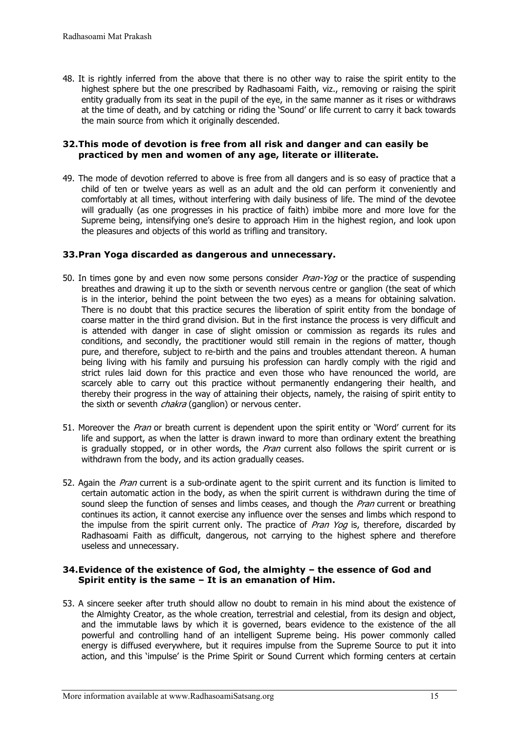48. It is rightly inferred from the above that there is no other way to raise the spirit entity to the highest sphere but the one prescribed by Radhasoami Faith, viz., removing or raising the spirit entity gradually from its seat in the pupil of the eye, in the same manner as it rises or withdraws at the time of death, and by catching or riding the 'Sound' or life current to carry it back towards the main source from which it originally descended.

#### **32.This mode of devotion is free from all risk and danger and can easily be practiced by men and women of any age, literate or illiterate.**

49. The mode of devotion referred to above is free from all dangers and is so easy of practice that a child of ten or twelve years as well as an adult and the old can perform it conveniently and comfortably at all times, without interfering with daily business of life. The mind of the devotee will gradually (as one progresses in his practice of faith) imbibe more and more love for the Supreme being, intensifying one's desire to approach Him in the highest region, and look upon the pleasures and objects of this world as trifling and transitory.

# **33.Pran Yoga discarded as dangerous and unnecessary.**

- 50. In times gone by and even now some persons consider *Pran-Yog* or the practice of suspending breathes and drawing it up to the sixth or seventh nervous centre or ganglion (the seat of which is in the interior, behind the point between the two eyes) as a means for obtaining salvation. There is no doubt that this practice secures the liberation of spirit entity from the bondage of coarse matter in the third grand division. But in the first instance the process is very difficult and is attended with danger in case of slight omission or commission as regards its rules and conditions, and secondly, the practitioner would still remain in the regions of matter, though pure, and therefore, subject to re-birth and the pains and troubles attendant thereon. A human being living with his family and pursuing his profession can hardly comply with the rigid and strict rules laid down for this practice and even those who have renounced the world, are scarcely able to carry out this practice without permanently endangering their health, and thereby their progress in the way of attaining their objects, namely, the raising of spirit entity to the sixth or seventh *chakra* (ganglion) or nervous center.
- 51. Moreover the *Pran* or breath current is dependent upon the spirit entity or 'Word' current for its life and support, as when the latter is drawn inward to more than ordinary extent the breathing is gradually stopped, or in other words, the  $Pran$  current also follows the spirit current or is withdrawn from the body, and its action gradually ceases.
- 52. Again the Pran current is a sub-ordinate agent to the spirit current and its function is limited to certain automatic action in the body, as when the spirit current is withdrawn during the time of sound sleep the function of senses and limbs ceases, and though the Pran current or breathing continues its action, it cannot exercise any influence over the senses and limbs which respond to the impulse from the spirit current only. The practice of *Pran Yog* is, therefore, discarded by Radhasoami Faith as difficult, dangerous, not carrying to the highest sphere and therefore useless and unnecessary.

#### **34.Evidence of the existence of God, the almighty – the essence of God and Spirit entity is the same – It is an emanation of Him.**

53. A sincere seeker after truth should allow no doubt to remain in his mind about the existence of the Almighty Creator, as the whole creation, terrestrial and celestial, from its design and object, and the immutable laws by which it is governed, bears evidence to the existence of the all powerful and controlling hand of an intelligent Supreme being. His power commonly called energy is diffused everywhere, but it requires impulse from the Supreme Source to put it into action, and this 'impulse' is the Prime Spirit or Sound Current which forming centers at certain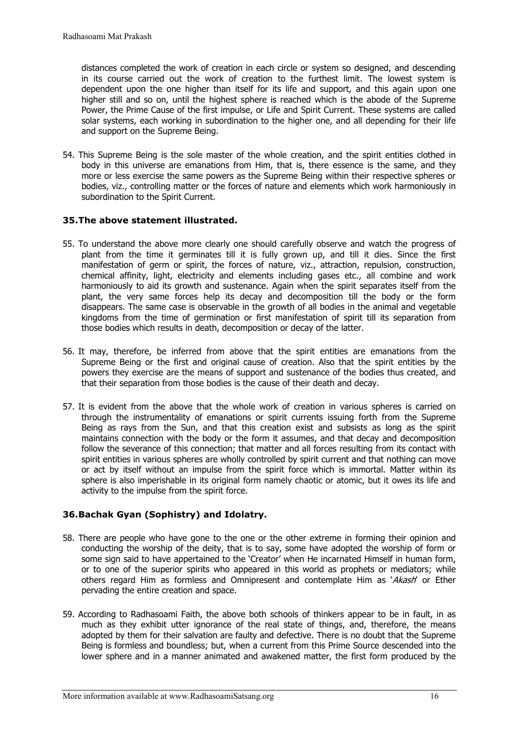distances completed the work of creation in each circle or system so designed, and descending in its course carried out the work of creation to the furthest limit. The lowest system is dependent upon the one higher than itself for its life and support, and this again upon one higher still and so on, until the highest sphere is reached which is the abode of the Supreme Power, the Prime Cause of the first impulse, or Life and Spirit Current. These systems are called solar systems, each working in subordination to the higher one, and all depending for their life and support on the Supreme Being.

54. This Supreme Being is the sole master of the whole creation, and the spirit entities clothed in body in this universe are emanations from Him, that is, there essence is the same, and they more or less exercise the same powers as the Supreme Being within their respective spheres or bodies, viz., controlling matter or the forces of nature and elements which work harmoniously in subordination to the Spirit Current.

# **35.The above statement illustrated.**

- 55. To understand the above more clearly one should carefully observe and watch the progress of plant from the time it germinates till it is fully grown up, and till it dies. Since the first manifestation of germ or spirit, the forces of nature, viz., attraction, repulsion, construction, chemical affinity, light, electricity and elements including gases etc., all combine and work harmoniously to aid its growth and sustenance. Again when the spirit separates itself from the plant, the very same forces help its decay and decomposition till the body or the form disappears. The same case is observable in the growth of all bodies in the animal and vegetable kingdoms from the time of germination or first manifestation of spirit till its separation from those bodies which results in death, decomposition or decay of the latter.
- 56. It may, therefore, be inferred from above that the spirit entities are emanations from the Supreme Being or the first and original cause of creation. Also that the spirit entities by the powers they exercise are the means of support and sustenance of the bodies thus created, and that their separation from those bodies is the cause of their death and decay.
- 57. It is evident from the above that the whole work of creation in various spheres is carried on through the instrumentality of emanations or spirit currents issuing forth from the Supreme Being as rays from the Sun, and that this creation exist and subsists as long as the spirit maintains connection with the body or the form it assumes, and that decay and decomposition follow the severance of this connection; that matter and all forces resulting from its contact with spirit entities in various spheres are wholly controlled by spirit current and that nothing can move or act by itself without an impulse from the spirit force which is immortal. Matter within its sphere is also imperishable in its original form namely chaotic or atomic, but it owes its life and activity to the impulse from the spirit force.

# **36.Bachak Gyan (Sophistry) and Idolatry.**

- 58. There are people who have gone to the one or the other extreme in forming their opinion and conducting the worship of the deity, that is to say, some have adopted the worship of form or some sign said to have appertained to the 'Creator' when He incarnated Himself in human form, or to one of the superior spirits who appeared in this world as prophets or mediators; while others regard Him as formless and Omnipresent and contemplate Him as 'Akash' or Ether pervading the entire creation and space.
- 59. According to Radhasoami Faith, the above both schools of thinkers appear to be in fault, in as much as they exhibit utter ignorance of the real state of things, and, therefore, the means adopted by them for their salvation are faulty and defective. There is no doubt that the Supreme Being is formless and boundless; but, when a current from this Prime Source descended into the lower sphere and in a manner animated and awakened matter, the first form produced by the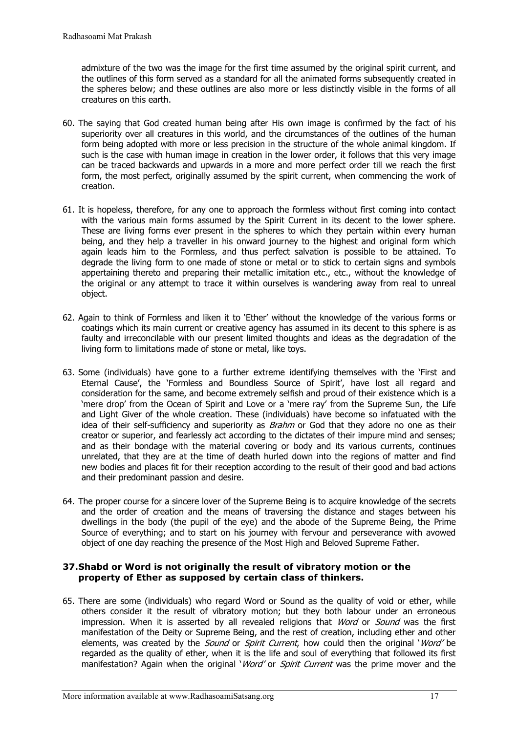admixture of the two was the image for the first time assumed by the original spirit current, and the outlines of this form served as a standard for all the animated forms subsequently created in the spheres below; and these outlines are also more or less distinctly visible in the forms of all creatures on this earth.

- 60. The saying that God created human being after His own image is confirmed by the fact of his superiority over all creatures in this world, and the circumstances of the outlines of the human form being adopted with more or less precision in the structure of the whole animal kingdom. If such is the case with human image in creation in the lower order, it follows that this very image can be traced backwards and upwards in a more and more perfect order till we reach the first form, the most perfect, originally assumed by the spirit current, when commencing the work of creation.
- 61. It is hopeless, therefore, for any one to approach the formless without first coming into contact with the various main forms assumed by the Spirit Current in its decent to the lower sphere. These are living forms ever present in the spheres to which they pertain within every human being, and they help a traveller in his onward journey to the highest and original form which again leads him to the Formless, and thus perfect salvation is possible to be attained. To degrade the living form to one made of stone or metal or to stick to certain signs and symbols appertaining thereto and preparing their metallic imitation etc., etc., without the knowledge of the original or any attempt to trace it within ourselves is wandering away from real to unreal object.
- 62. Again to think of Formless and liken it to 'Ether' without the knowledge of the various forms or coatings which its main current or creative agency has assumed in its decent to this sphere is as faulty and irreconcilable with our present limited thoughts and ideas as the degradation of the living form to limitations made of stone or metal, like toys.
- 63. Some (individuals) have gone to a further extreme identifying themselves with the 'First and Eternal Cause', the 'Formless and Boundless Source of Spirit', have lost all regard and consideration for the same, and become extremely selfish and proud of their existence which is a 'mere drop' from the Ocean of Spirit and Love or a 'mere ray' from the Supreme Sun, the Life and Light Giver of the whole creation. These (individuals) have become so infatuated with the idea of their self-sufficiency and superiority as *Brahm* or God that they adore no one as their creator or superior, and fearlessly act according to the dictates of their impure mind and senses; and as their bondage with the material covering or body and its various currents, continues unrelated, that they are at the time of death hurled down into the regions of matter and find new bodies and places fit for their reception according to the result of their good and bad actions and their predominant passion and desire.
- 64. The proper course for a sincere lover of the Supreme Being is to acquire knowledge of the secrets and the order of creation and the means of traversing the distance and stages between his dwellings in the body (the pupil of the eye) and the abode of the Supreme Being, the Prime Source of everything; and to start on his journey with fervour and perseverance with avowed object of one day reaching the presence of the Most High and Beloved Supreme Father.

#### **37.Shabd or Word is not originally the result of vibratory motion or the property of Ether as supposed by certain class of thinkers.**

65. There are some (individuals) who regard Word or Sound as the quality of void or ether, while others consider it the result of vibratory motion; but they both labour under an erroneous impression. When it is asserted by all revealed religions that Word or Sound was the first manifestation of the Deity or Supreme Being, and the rest of creation, including ether and other elements, was created by the *Sound* or *Spirit Current*, how could then the original 'Word' be regarded as the quality of ether, when it is the life and soul of everything that followed its first manifestation? Again when the original '*Word'* or *Spirit Current* was the prime mover and the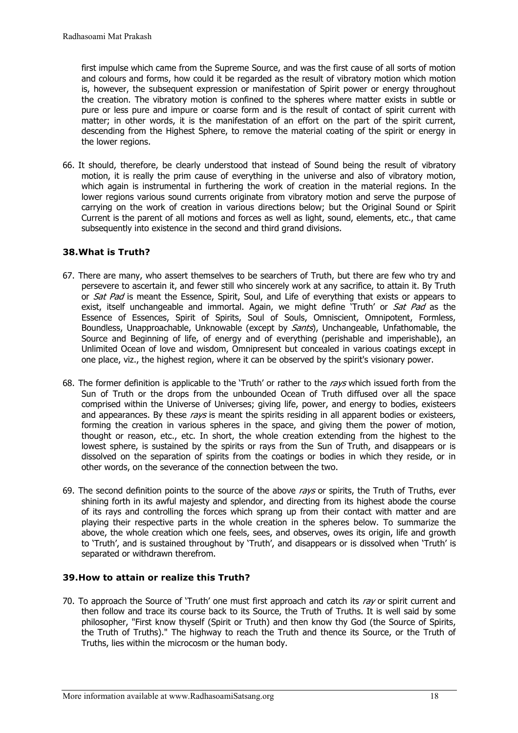first impulse which came from the Supreme Source, and was the first cause of all sorts of motion and colours and forms, how could it be regarded as the result of vibratory motion which motion is, however, the subsequent expression or manifestation of Spirit power or energy throughout the creation. The vibratory motion is confined to the spheres where matter exists in subtle or pure or less pure and impure or coarse form and is the result of contact of spirit current with matter; in other words, it is the manifestation of an effort on the part of the spirit current, descending from the Highest Sphere, to remove the material coating of the spirit or energy in the lower regions.

66. It should, therefore, be clearly understood that instead of Sound being the result of vibratory motion, it is really the prim cause of everything in the universe and also of vibratory motion, which again is instrumental in furthering the work of creation in the material regions. In the lower regions various sound currents originate from vibratory motion and serve the purpose of carrying on the work of creation in various directions below; but the Original Sound or Spirit Current is the parent of all motions and forces as well as light, sound, elements, etc., that came subsequently into existence in the second and third grand divisions.

# **38.What is Truth?**

- 67. There are many, who assert themselves to be searchers of Truth, but there are few who try and persevere to ascertain it, and fewer still who sincerely work at any sacrifice, to attain it. By Truth or Sat Pad is meant the Essence, Spirit, Soul, and Life of everything that exists or appears to exist, itself unchangeable and immortal. Again, we might define Truth' or Sat Pad as the Essence of Essences, Spirit of Spirits, Soul of Souls, Omniscient, Omnipotent, Formless, Boundless, Unapproachable, Unknowable (except by *Sants*), Unchangeable, Unfathomable, the Source and Beginning of life, of energy and of everything (perishable and imperishable), an Unlimited Ocean of love and wisdom, Omnipresent but concealed in various coatings except in one place, viz., the highest region, where it can be observed by the spirit's visionary power.
- 68. The former definition is applicable to the 'Truth' or rather to the  $rays$  which issued forth from the Sun of Truth or the drops from the unbounded Ocean of Truth diffused over all the space comprised within the Universe of Universes; giving life, power, and energy to bodies, existeers and appearances. By these rays is meant the spirits residing in all apparent bodies or existeers, forming the creation in various spheres in the space, and giving them the power of motion, thought or reason, etc., etc. In short, the whole creation extending from the highest to the lowest sphere, is sustained by the spirits or rays from the Sun of Truth, and disappears or is dissolved on the separation of spirits from the coatings or bodies in which they reside, or in other words, on the severance of the connection between the two.
- 69. The second definition points to the source of the above rays or spirits, the Truth of Truths, ever shining forth in its awful majesty and splendor, and directing from its highest abode the course of its rays and controlling the forces which sprang up from their contact with matter and are playing their respective parts in the whole creation in the spheres below. To summarize the above, the whole creation which one feels, sees, and observes, owes its origin, life and growth to 'Truth', and is sustained throughout by 'Truth', and disappears or is dissolved when 'Truth' is separated or withdrawn therefrom.

# **39.How to attain or realize this Truth?**

70. To approach the Source of 'Truth' one must first approach and catch its ray or spirit current and then follow and trace its course back to its Source, the Truth of Truths. It is well said by some philosopher, "First know thyself (Spirit or Truth) and then know thy God (the Source of Spirits, the Truth of Truths)." The highway to reach the Truth and thence its Source, or the Truth of Truths, lies within the microcosm or the human body.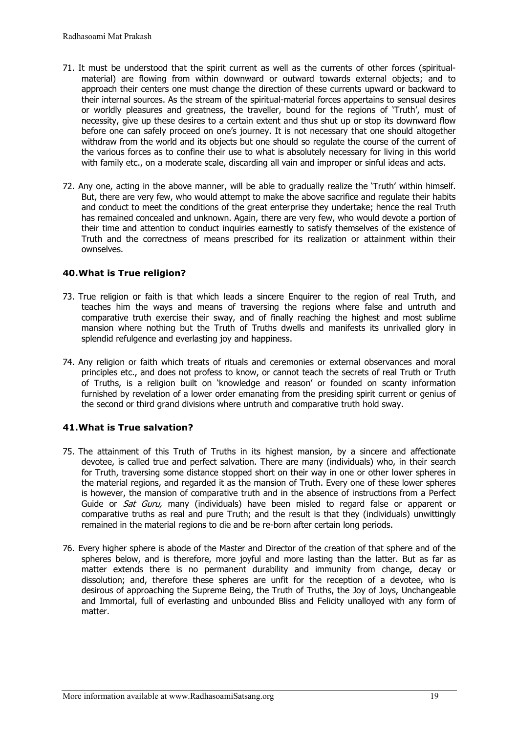- 71. It must be understood that the spirit current as well as the currents of other forces (spiritualmaterial) are flowing from within downward or outward towards external objects; and to approach their centers one must change the direction of these currents upward or backward to their internal sources. As the stream of the spiritual-material forces appertains to sensual desires or worldly pleasures and greatness, the traveller, bound for the regions of 'Truth', must of necessity, give up these desires to a certain extent and thus shut up or stop its downward flow before one can safely proceed on one's journey. It is not necessary that one should altogether withdraw from the world and its objects but one should so regulate the course of the current of the various forces as to confine their use to what is absolutely necessary for living in this world with family etc., on a moderate scale, discarding all vain and improper or sinful ideas and acts.
- 72. Any one, acting in the above manner, will be able to gradually realize the 'Truth' within himself. But, there are very few, who would attempt to make the above sacrifice and regulate their habits and conduct to meet the conditions of the great enterprise they undertake; hence the real Truth has remained concealed and unknown. Again, there are very few, who would devote a portion of their time and attention to conduct inquiries earnestly to satisfy themselves of the existence of Truth and the correctness of means prescribed for its realization or attainment within their ownselves.

# **40.What is True religion?**

- 73. True religion or faith is that which leads a sincere Enquirer to the region of real Truth, and teaches him the ways and means of traversing the regions where false and untruth and comparative truth exercise their sway, and of finally reaching the highest and most sublime mansion where nothing but the Truth of Truths dwells and manifests its unrivalled glory in splendid refulgence and everlasting joy and happiness.
- 74. Any religion or faith which treats of rituals and ceremonies or external observances and moral principles etc., and does not profess to know, or cannot teach the secrets of real Truth or Truth of Truths, is a religion built on 'knowledge and reason' or founded on scanty information furnished by revelation of a lower order emanating from the presiding spirit current or genius of the second or third grand divisions where untruth and comparative truth hold sway.

# **41.What is True salvation?**

- 75. The attainment of this Truth of Truths in its highest mansion, by a sincere and affectionate devotee, is called true and perfect salvation. There are many (individuals) who, in their search for Truth, traversing some distance stopped short on their way in one or other lower spheres in the material regions, and regarded it as the mansion of Truth. Every one of these lower spheres is however, the mansion of comparative truth and in the absence of instructions from a Perfect Guide or Sat Guru, many (individuals) have been misled to regard false or apparent or comparative truths as real and pure Truth; and the result is that they (individuals) unwittingly remained in the material regions to die and be re-born after certain long periods.
- 76. Every higher sphere is abode of the Master and Director of the creation of that sphere and of the spheres below, and is therefore, more joyful and more lasting than the latter. But as far as matter extends there is no permanent durability and immunity from change, decay or dissolution; and, therefore these spheres are unfit for the reception of a devotee, who is desirous of approaching the Supreme Being, the Truth of Truths, the Joy of Joys, Unchangeable and Immortal, full of everlasting and unbounded Bliss and Felicity unalloyed with any form of matter.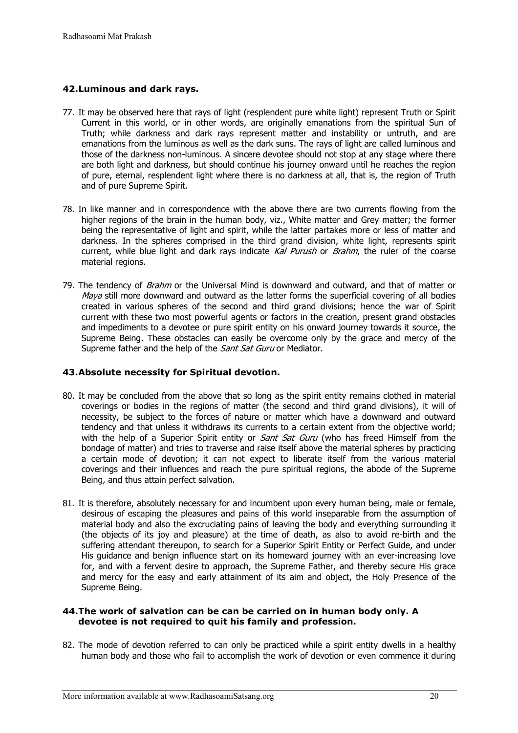#### **42.Luminous and dark rays.**

- 77. It may be observed here that rays of light (resplendent pure white light) represent Truth or Spirit Current in this world, or in other words, are originally emanations from the spiritual Sun of Truth; while darkness and dark rays represent matter and instability or untruth, and are emanations from the luminous as well as the dark suns. The rays of light are called luminous and those of the darkness non-luminous. A sincere devotee should not stop at any stage where there are both light and darkness, but should continue his journey onward until he reaches the region of pure, eternal, resplendent light where there is no darkness at all, that is, the region of Truth and of pure Supreme Spirit.
- 78. In like manner and in correspondence with the above there are two currents flowing from the higher regions of the brain in the human body, viz., White matter and Grey matter; the former being the representative of light and spirit, while the latter partakes more or less of matter and darkness. In the spheres comprised in the third grand division, white light, represents spirit current, while blue light and dark rays indicate Kal Purush or Brahm, the ruler of the coarse material regions.
- 79. The tendency of *Brahm* or the Universal Mind is downward and outward, and that of matter or Maya still more downward and outward as the latter forms the superficial covering of all bodies created in various spheres of the second and third grand divisions; hence the war of Spirit current with these two most powerful agents or factors in the creation, present grand obstacles and impediments to a devotee or pure spirit entity on his onward journey towards it source, the Supreme Being. These obstacles can easily be overcome only by the grace and mercy of the Supreme father and the help of the *Sant Sat Guru* or Mediator.

#### **43.Absolute necessity for Spiritual devotion.**

- 80. It may be concluded from the above that so long as the spirit entity remains clothed in material coverings or bodies in the regions of matter (the second and third grand divisions), it will of necessity, be subject to the forces of nature or matter which have a downward and outward tendency and that unless it withdraws its currents to a certain extent from the objective world; with the help of a Superior Spirit entity or *Sant Sat Guru* (who has freed Himself from the bondage of matter) and tries to traverse and raise itself above the material spheres by practicing a certain mode of devotion; it can not expect to liberate itself from the various material coverings and their influences and reach the pure spiritual regions, the abode of the Supreme Being, and thus attain perfect salvation.
- 81. It is therefore, absolutely necessary for and incumbent upon every human being, male or female, desirous of escaping the pleasures and pains of this world inseparable from the assumption of material body and also the excruciating pains of leaving the body and everything surrounding it (the objects of its joy and pleasure) at the time of death, as also to avoid re-birth and the suffering attendant thereupon, to search for a Superior Spirit Entity or Perfect Guide, and under His guidance and benign influence start on its homeward journey with an ever-increasing love for, and with a fervent desire to approach, the Supreme Father, and thereby secure His grace and mercy for the easy and early attainment of its aim and object, the Holy Presence of the Supreme Being.

#### **44.The work of salvation can be can be carried on in human body only. A devotee is not required to quit his family and profession.**

82. The mode of devotion referred to can only be practiced while a spirit entity dwells in a healthy human body and those who fail to accomplish the work of devotion or even commence it during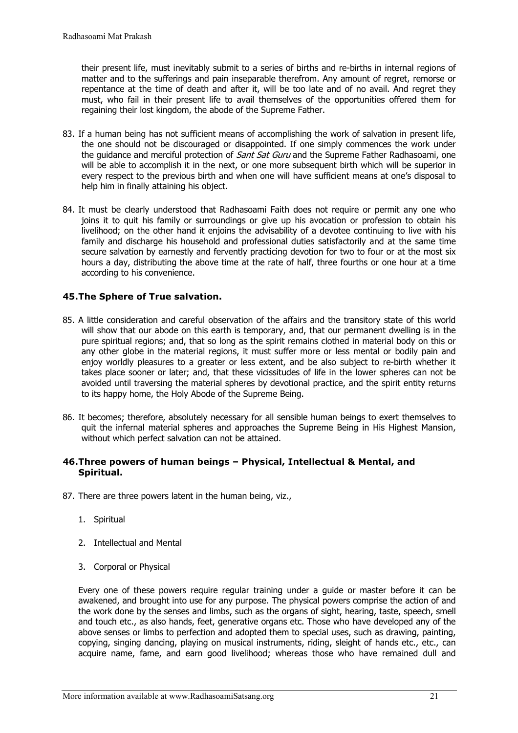their present life, must inevitably submit to a series of births and re-births in internal regions of matter and to the sufferings and pain inseparable therefrom. Any amount of regret, remorse or repentance at the time of death and after it, will be too late and of no avail. And regret they must, who fail in their present life to avail themselves of the opportunities offered them for regaining their lost kingdom, the abode of the Supreme Father.

- 83. If a human being has not sufficient means of accomplishing the work of salvation in present life, the one should not be discouraged or disappointed. If one simply commences the work under the guidance and merciful protection of *Sant Sat Guru* and the Supreme Father Radhasoami, one will be able to accomplish it in the next, or one more subsequent birth which will be superior in every respect to the previous birth and when one will have sufficient means at one's disposal to help him in finally attaining his object.
- 84. It must be clearly understood that Radhasoami Faith does not require or permit any one who joins it to quit his family or surroundings or give up his avocation or profession to obtain his livelihood; on the other hand it enjoins the advisability of a devotee continuing to live with his family and discharge his household and professional duties satisfactorily and at the same time secure salvation by earnestly and fervently practicing devotion for two to four or at the most six hours a day, distributing the above time at the rate of half, three fourths or one hour at a time according to his convenience.

# **45.The Sphere of True salvation.**

- 85. A little consideration and careful observation of the affairs and the transitory state of this world will show that our abode on this earth is temporary, and, that our permanent dwelling is in the pure spiritual regions; and, that so long as the spirit remains clothed in material body on this or any other globe in the material regions, it must suffer more or less mental or bodily pain and enjoy worldly pleasures to a greater or less extent, and be also subject to re-birth whether it takes place sooner or later; and, that these vicissitudes of life in the lower spheres can not be avoided until traversing the material spheres by devotional practice, and the spirit entity returns to its happy home, the Holy Abode of the Supreme Being.
- 86. It becomes; therefore, absolutely necessary for all sensible human beings to exert themselves to quit the infernal material spheres and approaches the Supreme Being in His Highest Mansion, without which perfect salvation can not be attained.

#### **46.Three powers of human beings – Physical, Intellectual & Mental, and Spiritual.**

- 87. There are three powers latent in the human being, viz.,
	- 1. Spiritual
	- 2. Intellectual and Mental
	- 3. Corporal or Physical

Every one of these powers require regular training under a guide or master before it can be awakened, and brought into use for any purpose. The physical powers comprise the action of and the work done by the senses and limbs, such as the organs of sight, hearing, taste, speech, smell and touch etc., as also hands, feet, generative organs etc. Those who have developed any of the above senses or limbs to perfection and adopted them to special uses, such as drawing, painting, copying, singing dancing, playing on musical instruments, riding, sleight of hands etc., etc., can acquire name, fame, and earn good livelihood; whereas those who have remained dull and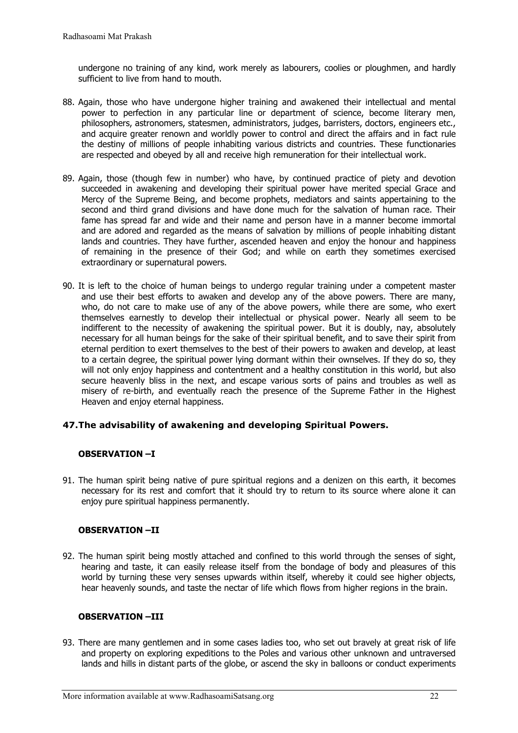undergone no training of any kind, work merely as labourers, coolies or ploughmen, and hardly sufficient to live from hand to mouth.

- 88. Again, those who have undergone higher training and awakened their intellectual and mental power to perfection in any particular line or department of science, become literary men, philosophers, astronomers, statesmen, administrators, judges, barristers, doctors, engineers etc., and acquire greater renown and worldly power to control and direct the affairs and in fact rule the destiny of millions of people inhabiting various districts and countries. These functionaries are respected and obeyed by all and receive high remuneration for their intellectual work.
- 89. Again, those (though few in number) who have, by continued practice of piety and devotion succeeded in awakening and developing their spiritual power have merited special Grace and Mercy of the Supreme Being, and become prophets, mediators and saints appertaining to the second and third grand divisions and have done much for the salvation of human race. Their fame has spread far and wide and their name and person have in a manner become immortal and are adored and regarded as the means of salvation by millions of people inhabiting distant lands and countries. They have further, ascended heaven and enjoy the honour and happiness of remaining in the presence of their God; and while on earth they sometimes exercised extraordinary or supernatural powers.
- 90. It is left to the choice of human beings to undergo regular training under a competent master and use their best efforts to awaken and develop any of the above powers. There are many, who, do not care to make use of any of the above powers, while there are some, who exert themselves earnestly to develop their intellectual or physical power. Nearly all seem to be indifferent to the necessity of awakening the spiritual power. But it is doubly, nay, absolutely necessary for all human beings for the sake of their spiritual benefit, and to save their spirit from eternal perdition to exert themselves to the best of their powers to awaken and develop, at least to a certain degree, the spiritual power lying dormant within their ownselves. If they do so, they will not only enjoy happiness and contentment and a healthy constitution in this world, but also secure heavenly bliss in the next, and escape various sorts of pains and troubles as well as misery of re-birth, and eventually reach the presence of the Supreme Father in the Highest Heaven and enjoy eternal happiness.

# **47.The advisability of awakening and developing Spiritual Powers.**

#### **OBSERVATION –I**

91. The human spirit being native of pure spiritual regions and a denizen on this earth, it becomes necessary for its rest and comfort that it should try to return to its source where alone it can enjoy pure spiritual happiness permanently.

#### **OBSERVATION –II**

92. The human spirit being mostly attached and confined to this world through the senses of sight, hearing and taste, it can easily release itself from the bondage of body and pleasures of this world by turning these very senses upwards within itself, whereby it could see higher objects, hear heavenly sounds, and taste the nectar of life which flows from higher regions in the brain.

#### **OBSERVATION –III**

93. There are many gentlemen and in some cases ladies too, who set out bravely at great risk of life and property on exploring expeditions to the Poles and various other unknown and untraversed lands and hills in distant parts of the globe, or ascend the sky in balloons or conduct experiments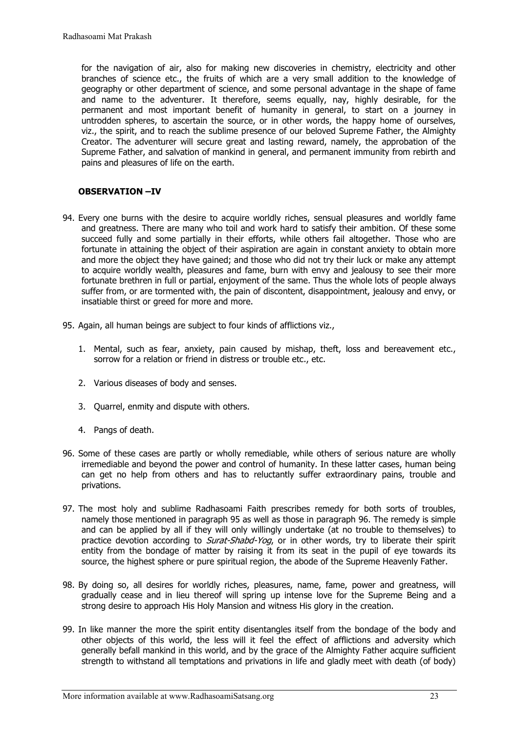for the navigation of air, also for making new discoveries in chemistry, electricity and other branches of science etc., the fruits of which are a very small addition to the knowledge of geography or other department of science, and some personal advantage in the shape of fame and name to the adventurer. It therefore, seems equally, nay, highly desirable, for the permanent and most important benefit of humanity in general, to start on a journey in untrodden spheres, to ascertain the source, or in other words, the happy home of ourselves, viz., the spirit, and to reach the sublime presence of our beloved Supreme Father, the Almighty Creator. The adventurer will secure great and lasting reward, namely, the approbation of the Supreme Father, and salvation of mankind in general, and permanent immunity from rebirth and pains and pleasures of life on the earth.

# **OBSERVATION –IV**

- 94. Every one burns with the desire to acquire worldly riches, sensual pleasures and worldly fame and greatness. There are many who toil and work hard to satisfy their ambition. Of these some succeed fully and some partially in their efforts, while others fail altogether. Those who are fortunate in attaining the object of their aspiration are again in constant anxiety to obtain more and more the object they have gained; and those who did not try their luck or make any attempt to acquire worldly wealth, pleasures and fame, burn with envy and jealousy to see their more fortunate brethren in full or partial, enjoyment of the same. Thus the whole lots of people always suffer from, or are tormented with, the pain of discontent, disappointment, jealousy and envy, or insatiable thirst or greed for more and more.
- 95. Again, all human beings are subject to four kinds of afflictions viz.,
	- 1. Mental, such as fear, anxiety, pain caused by mishap, theft, loss and bereavement etc., sorrow for a relation or friend in distress or trouble etc., etc.
	- 2. Various diseases of body and senses.
	- 3. Quarrel, enmity and dispute with others.
	- 4. Pangs of death.
- 96. Some of these cases are partly or wholly remediable, while others of serious nature are wholly irremediable and beyond the power and control of humanity. In these latter cases, human being can get no help from others and has to reluctantly suffer extraordinary pains, trouble and privations.
- 97. The most holy and sublime Radhasoami Faith prescribes remedy for both sorts of troubles, namely those mentioned in paragraph 95 as well as those in paragraph 96. The remedy is simple and can be applied by all if they will only willingly undertake (at no trouble to themselves) to practice devotion according to *Surat-Shabd-Yog*, or in other words, try to liberate their spirit entity from the bondage of matter by raising it from its seat in the pupil of eye towards its source, the highest sphere or pure spiritual region, the abode of the Supreme Heavenly Father.
- 98. By doing so, all desires for worldly riches, pleasures, name, fame, power and greatness, will gradually cease and in lieu thereof will spring up intense love for the Supreme Being and a strong desire to approach His Holy Mansion and witness His glory in the creation.
- 99. In like manner the more the spirit entity disentangles itself from the bondage of the body and other objects of this world, the less will it feel the effect of afflictions and adversity which generally befall mankind in this world, and by the grace of the Almighty Father acquire sufficient strength to withstand all temptations and privations in life and gladly meet with death (of body)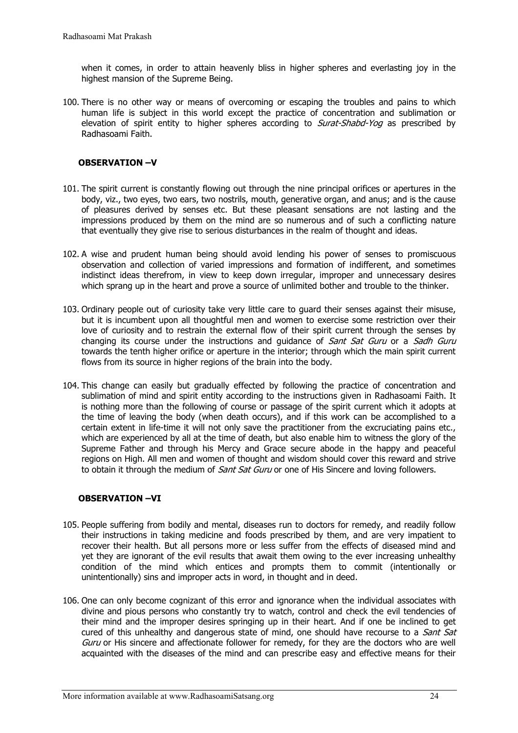when it comes, in order to attain heavenly bliss in higher spheres and everlasting joy in the highest mansion of the Supreme Being.

100. There is no other way or means of overcoming or escaping the troubles and pains to which human life is subject in this world except the practice of concentration and sublimation or elevation of spirit entity to higher spheres according to Surat-Shabd-Yog as prescribed by Radhasoami Faith.

#### **OBSERVATION –V**

- 101. The spirit current is constantly flowing out through the nine principal orifices or apertures in the body, viz., two eyes, two ears, two nostrils, mouth, generative organ, and anus; and is the cause of pleasures derived by senses etc. But these pleasant sensations are not lasting and the impressions produced by them on the mind are so numerous and of such a conflicting nature that eventually they give rise to serious disturbances in the realm of thought and ideas.
- 102. A wise and prudent human being should avoid lending his power of senses to promiscuous observation and collection of varied impressions and formation of indifferent, and sometimes indistinct ideas therefrom, in view to keep down irregular, improper and unnecessary desires which sprang up in the heart and prove a source of unlimited bother and trouble to the thinker.
- 103. Ordinary people out of curiosity take very little care to guard their senses against their misuse, but it is incumbent upon all thoughtful men and women to exercise some restriction over their love of curiosity and to restrain the external flow of their spirit current through the senses by changing its course under the instructions and guidance of Sant Sat Guru or a Sadh Guru towards the tenth higher orifice or aperture in the interior; through which the main spirit current flows from its source in higher regions of the brain into the body.
- 104. This change can easily but gradually effected by following the practice of concentration and sublimation of mind and spirit entity according to the instructions given in Radhasoami Faith. It is nothing more than the following of course or passage of the spirit current which it adopts at the time of leaving the body (when death occurs), and if this work can be accomplished to a certain extent in life-time it will not only save the practitioner from the excruciating pains etc., which are experienced by all at the time of death, but also enable him to witness the glory of the Supreme Father and through his Mercy and Grace secure abode in the happy and peaceful regions on High. All men and women of thought and wisdom should cover this reward and strive to obtain it through the medium of *Sant Sat Guru* or one of His Sincere and loving followers.

#### **OBSERVATION –VI**

- 105. People suffering from bodily and mental, diseases run to doctors for remedy, and readily follow their instructions in taking medicine and foods prescribed by them, and are very impatient to recover their health. But all persons more or less suffer from the effects of diseased mind and yet they are ignorant of the evil results that await them owing to the ever increasing unhealthy condition of the mind which entices and prompts them to commit (intentionally or unintentionally) sins and improper acts in word, in thought and in deed.
- 106. One can only become cognizant of this error and ignorance when the individual associates with divine and pious persons who constantly try to watch, control and check the evil tendencies of their mind and the improper desires springing up in their heart. And if one be inclined to get cured of this unhealthy and dangerous state of mind, one should have recourse to a *Sant Sat* Guru or His sincere and affectionate follower for remedy, for they are the doctors who are well acquainted with the diseases of the mind and can prescribe easy and effective means for their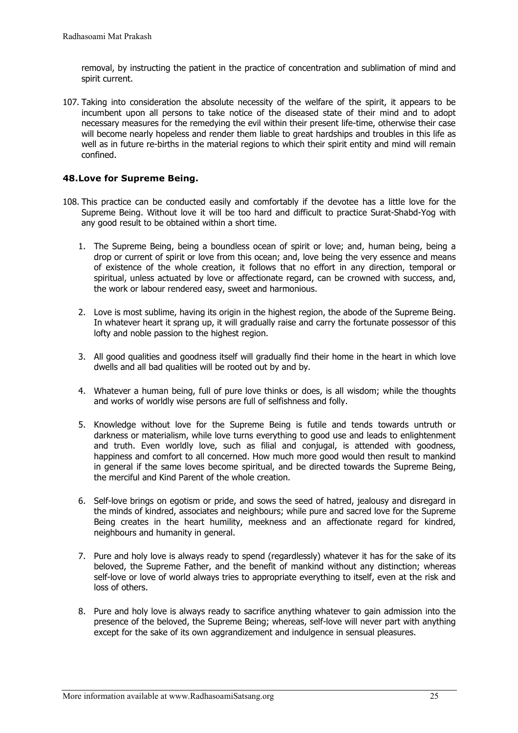removal, by instructing the patient in the practice of concentration and sublimation of mind and spirit current.

107. Taking into consideration the absolute necessity of the welfare of the spirit, it appears to be incumbent upon all persons to take notice of the diseased state of their mind and to adopt necessary measures for the remedying the evil within their present life-time, otherwise their case will become nearly hopeless and render them liable to great hardships and troubles in this life as well as in future re-births in the material regions to which their spirit entity and mind will remain confined.

### **48.Love for Supreme Being.**

- 108. This practice can be conducted easily and comfortably if the devotee has a little love for the Supreme Being. Without love it will be too hard and difficult to practice Surat-Shabd-Yog with any good result to be obtained within a short time.
	- 1. The Supreme Being, being a boundless ocean of spirit or love; and, human being, being a drop or current of spirit or love from this ocean; and, love being the very essence and means of existence of the whole creation, it follows that no effort in any direction, temporal or spiritual, unless actuated by love or affectionate regard, can be crowned with success, and, the work or labour rendered easy, sweet and harmonious.
	- 2. Love is most sublime, having its origin in the highest region, the abode of the Supreme Being. In whatever heart it sprang up, it will gradually raise and carry the fortunate possessor of this lofty and noble passion to the highest region.
	- 3. All good qualities and goodness itself will gradually find their home in the heart in which love dwells and all bad qualities will be rooted out by and by.
	- 4. Whatever a human being, full of pure love thinks or does, is all wisdom; while the thoughts and works of worldly wise persons are full of selfishness and folly.
	- 5. Knowledge without love for the Supreme Being is futile and tends towards untruth or darkness or materialism, while love turns everything to good use and leads to enlightenment and truth. Even worldly love, such as filial and conjugal, is attended with goodness, happiness and comfort to all concerned. How much more good would then result to mankind in general if the same loves become spiritual, and be directed towards the Supreme Being, the merciful and Kind Parent of the whole creation.
	- 6. Self-love brings on egotism or pride, and sows the seed of hatred, jealousy and disregard in the minds of kindred, associates and neighbours; while pure and sacred love for the Supreme Being creates in the heart humility, meekness and an affectionate regard for kindred, neighbours and humanity in general.
	- 7. Pure and holy love is always ready to spend (regardlessly) whatever it has for the sake of its beloved, the Supreme Father, and the benefit of mankind without any distinction; whereas self-love or love of world always tries to appropriate everything to itself, even at the risk and loss of others.
	- 8. Pure and holy love is always ready to sacrifice anything whatever to gain admission into the presence of the beloved, the Supreme Being; whereas, self-love will never part with anything except for the sake of its own aggrandizement and indulgence in sensual pleasures.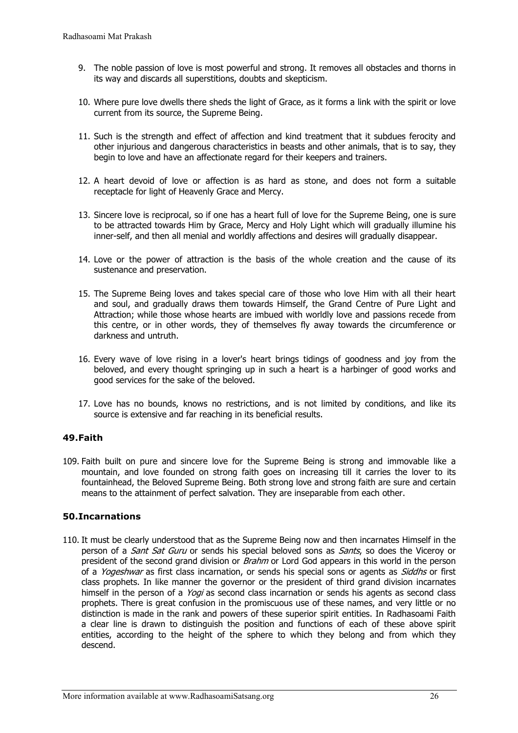- 9. The noble passion of love is most powerful and strong. It removes all obstacles and thorns in its way and discards all superstitions, doubts and skepticism.
- 10. Where pure love dwells there sheds the light of Grace, as it forms a link with the spirit or love current from its source, the Supreme Being.
- 11. Such is the strength and effect of affection and kind treatment that it subdues ferocity and other injurious and dangerous characteristics in beasts and other animals, that is to say, they begin to love and have an affectionate regard for their keepers and trainers.
- 12. A heart devoid of love or affection is as hard as stone, and does not form a suitable receptacle for light of Heavenly Grace and Mercy.
- 13. Sincere love is reciprocal, so if one has a heart full of love for the Supreme Being, one is sure to be attracted towards Him by Grace, Mercy and Holy Light which will gradually illumine his inner-self, and then all menial and worldly affections and desires will gradually disappear.
- 14. Love or the power of attraction is the basis of the whole creation and the cause of its sustenance and preservation.
- 15. The Supreme Being loves and takes special care of those who love Him with all their heart and soul, and gradually draws them towards Himself, the Grand Centre of Pure Light and Attraction; while those whose hearts are imbued with worldly love and passions recede from this centre, or in other words, they of themselves fly away towards the circumference or darkness and untruth.
- 16. Every wave of love rising in a lover's heart brings tidings of goodness and joy from the beloved, and every thought springing up in such a heart is a harbinger of good works and good services for the sake of the beloved.
- 17. Love has no bounds, knows no restrictions, and is not limited by conditions, and like its source is extensive and far reaching in its beneficial results.

# **49.Faith**

109. Faith built on pure and sincere love for the Supreme Being is strong and immovable like a mountain, and love founded on strong faith goes on increasing till it carries the lover to its fountainhead, the Beloved Supreme Being. Both strong love and strong faith are sure and certain means to the attainment of perfect salvation. They are inseparable from each other.

#### **50.Incarnations**

110. It must be clearly understood that as the Supreme Being now and then incarnates Himself in the person of a *Sant Sat Guru* or sends his special beloved sons as *Sants*, so does the Viceroy or president of the second grand division or *Brahm* or Lord God appears in this world in the person of a Yogeshwar as first class incarnation, or sends his special sons or agents as Siddhs or first class prophets. In like manner the governor or the president of third grand division incarnates himself in the person of a Yogi as second class incarnation or sends his agents as second class prophets. There is great confusion in the promiscuous use of these names, and very little or no distinction is made in the rank and powers of these superior spirit entities. In Radhasoami Faith a clear line is drawn to distinguish the position and functions of each of these above spirit entities, according to the height of the sphere to which they belong and from which they descend.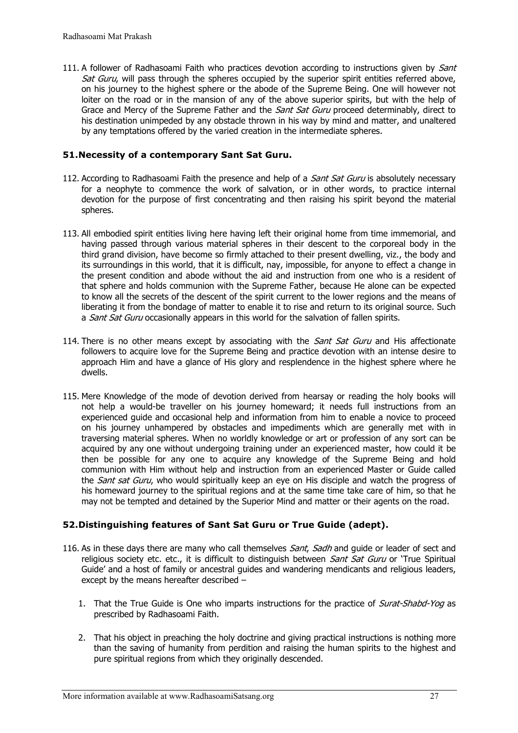111. A follower of Radhasoami Faith who practices devotion according to instructions given by Sant Sat Guru, will pass through the spheres occupied by the superior spirit entities referred above, on his journey to the highest sphere or the abode of the Supreme Being. One will however not loiter on the road or in the mansion of any of the above superior spirits, but with the help of Grace and Mercy of the Supreme Father and the *Sant Sat Guru* proceed determinably, direct to his destination unimpeded by any obstacle thrown in his way by mind and matter, and unaltered by any temptations offered by the varied creation in the intermediate spheres.

#### **51.Necessity of a contemporary Sant Sat Guru.**

- 112. According to Radhasoami Faith the presence and help of a *Sant Sat Guru* is absolutely necessary for a neophyte to commence the work of salvation, or in other words, to practice internal devotion for the purpose of first concentrating and then raising his spirit beyond the material spheres.
- 113. All embodied spirit entities living here having left their original home from time immemorial, and having passed through various material spheres in their descent to the corporeal body in the third grand division, have become so firmly attached to their present dwelling, viz., the body and its surroundings in this world, that it is difficult, nay, impossible, for anyone to effect a change in the present condition and abode without the aid and instruction from one who is a resident of that sphere and holds communion with the Supreme Father, because He alone can be expected to know all the secrets of the descent of the spirit current to the lower regions and the means of liberating it from the bondage of matter to enable it to rise and return to its original source. Such a *Sant Sat Guru* occasionally appears in this world for the salvation of fallen spirits.
- 114. There is no other means except by associating with the *Sant Sat Guru* and His affectionate followers to acquire love for the Supreme Being and practice devotion with an intense desire to approach Him and have a glance of His glory and resplendence in the highest sphere where he dwells.
- 115. Mere Knowledge of the mode of devotion derived from hearsay or reading the holy books will not help a would-be traveller on his journey homeward; it needs full instructions from an experienced guide and occasional help and information from him to enable a novice to proceed on his journey unhampered by obstacles and impediments which are generally met with in traversing material spheres. When no worldly knowledge or art or profession of any sort can be acquired by any one without undergoing training under an experienced master, how could it be then be possible for any one to acquire any knowledge of the Supreme Being and hold communion with Him without help and instruction from an experienced Master or Guide called the Sant sat Guru, who would spiritually keep an eye on His disciple and watch the progress of his homeward journey to the spiritual regions and at the same time take care of him, so that he may not be tempted and detained by the Superior Mind and matter or their agents on the road.

# **52.Distinguishing features of Sant Sat Guru or True Guide (adept).**

- 116. As in these days there are many who call themselves *Sant, Sadh* and quide or leader of sect and religious society etc. etc., it is difficult to distinguish between *Sant Sat Guru* or 'True Spiritual Guide' and a host of family or ancestral guides and wandering mendicants and religious leaders, except by the means hereafter described –
	- 1. That the True Guide is One who imparts instructions for the practice of *Surat-Shabd-Yog* as prescribed by Radhasoami Faith.
	- 2. That his object in preaching the holy doctrine and giving practical instructions is nothing more than the saving of humanity from perdition and raising the human spirits to the highest and pure spiritual regions from which they originally descended.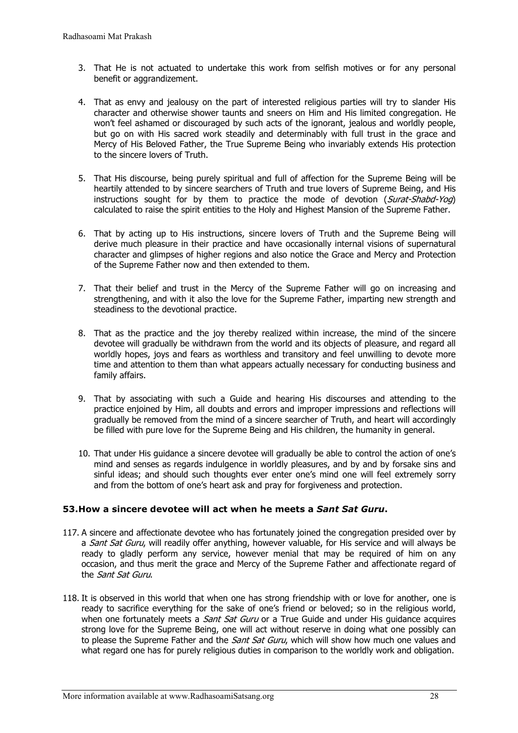- 3. That He is not actuated to undertake this work from selfish motives or for any personal benefit or aggrandizement.
- 4. That as envy and jealousy on the part of interested religious parties will try to slander His character and otherwise shower taunts and sneers on Him and His limited congregation. He won't feel ashamed or discouraged by such acts of the ignorant, jealous and worldly people, but go on with His sacred work steadily and determinably with full trust in the grace and Mercy of His Beloved Father, the True Supreme Being who invariably extends His protection to the sincere lovers of Truth.
- 5. That His discourse, being purely spiritual and full of affection for the Supreme Being will be heartily attended to by sincere searchers of Truth and true lovers of Supreme Being, and His instructions sought for by them to practice the mode of devotion (Surat-Shabd-Yog) calculated to raise the spirit entities to the Holy and Highest Mansion of the Supreme Father.
- 6. That by acting up to His instructions, sincere lovers of Truth and the Supreme Being will derive much pleasure in their practice and have occasionally internal visions of supernatural character and glimpses of higher regions and also notice the Grace and Mercy and Protection of the Supreme Father now and then extended to them.
- 7. That their belief and trust in the Mercy of the Supreme Father will go on increasing and strengthening, and with it also the love for the Supreme Father, imparting new strength and steadiness to the devotional practice.
- 8. That as the practice and the joy thereby realized within increase, the mind of the sincere devotee will gradually be withdrawn from the world and its objects of pleasure, and regard all worldly hopes, joys and fears as worthless and transitory and feel unwilling to devote more time and attention to them than what appears actually necessary for conducting business and family affairs.
- 9. That by associating with such a Guide and hearing His discourses and attending to the practice enjoined by Him, all doubts and errors and improper impressions and reflections will gradually be removed from the mind of a sincere searcher of Truth, and heart will accordingly be filled with pure love for the Supreme Being and His children, the humanity in general.
- 10. That under His guidance a sincere devotee will gradually be able to control the action of one's mind and senses as regards indulgence in worldly pleasures, and by and by forsake sins and sinful ideas; and should such thoughts ever enter one's mind one will feel extremely sorry and from the bottom of one's heart ask and pray for forgiveness and protection.

# **53.How a sincere devotee will act when he meets a** *Sant Sat Guru***.**

- 117. A sincere and affectionate devotee who has fortunately joined the congregation presided over by a Sant Sat Guru, will readily offer anything, however valuable, for His service and will always be ready to gladly perform any service, however menial that may be required of him on any occasion, and thus merit the grace and Mercy of the Supreme Father and affectionate regard of the Sant Sat Guru.
- 118. It is observed in this world that when one has strong friendship with or love for another, one is ready to sacrifice everything for the sake of one's friend or beloved; so in the religious world, when one fortunately meets a *Sant Sat Guru* or a True Guide and under His guidance acquires strong love for the Supreme Being, one will act without reserve in doing what one possibly can to please the Supreme Father and the *Sant Sat Guru*, which will show how much one values and what regard one has for purely religious duties in comparison to the worldly work and obligation.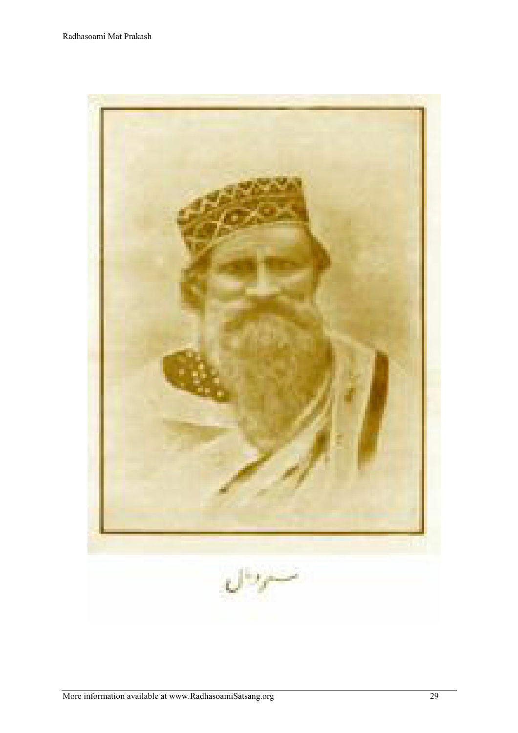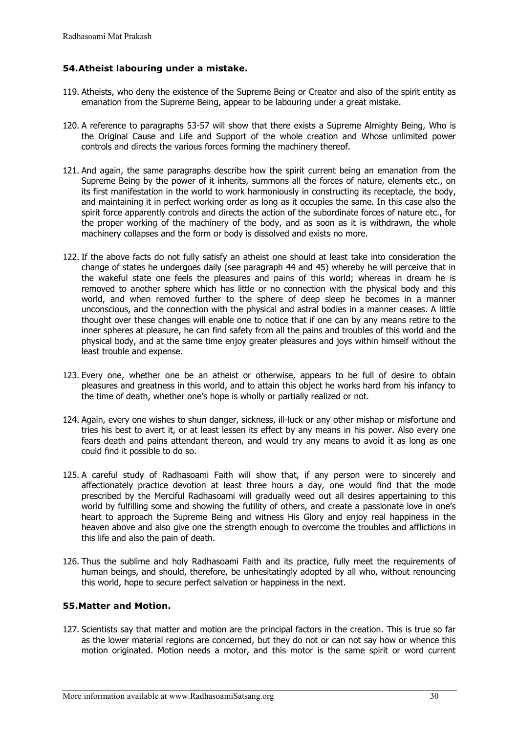# **54.Atheist labouring under a mistake.**

- 119. Atheists, who deny the existence of the Supreme Being or Creator and also of the spirit entity as emanation from the Supreme Being, appear to be labouring under a great mistake.
- 120. A reference to paragraphs 53-57 will show that there exists a Supreme Almighty Being, Who is the Original Cause and Life and Support of the whole creation and Whose unlimited power controls and directs the various forces forming the machinery thereof.
- 121. And again, the same paragraphs describe how the spirit current being an emanation from the Supreme Being by the power of it inherits, summons all the forces of nature, elements etc., on its first manifestation in the world to work harmoniously in constructing its receptacle, the body, and maintaining it in perfect working order as long as it occupies the same. In this case also the spirit force apparently controls and directs the action of the subordinate forces of nature etc., for the proper working of the machinery of the body, and as soon as it is withdrawn, the whole machinery collapses and the form or body is dissolved and exists no more.
- 122. If the above facts do not fully satisfy an atheist one should at least take into consideration the change of states he undergoes daily (see paragraph 44 and 45) whereby he will perceive that in the wakeful state one feels the pleasures and pains of this world; whereas in dream he is removed to another sphere which has little or no connection with the physical body and this world, and when removed further to the sphere of deep sleep he becomes in a manner unconscious, and the connection with the physical and astral bodies in a manner ceases. A little thought over these changes will enable one to notice that if one can by any means retire to the inner spheres at pleasure, he can find safety from all the pains and troubles of this world and the physical body, and at the same time enjoy greater pleasures and joys within himself without the least trouble and expense.
- 123. Every one, whether one be an atheist or otherwise, appears to be full of desire to obtain pleasures and greatness in this world, and to attain this object he works hard from his infancy to the time of death, whether one's hope is wholly or partially realized or not.
- 124. Again, every one wishes to shun danger, sickness, ill-luck or any other mishap or misfortune and tries his best to avert it, or at least lessen its effect by any means in his power. Also every one fears death and pains attendant thereon, and would try any means to avoid it as long as one could find it possible to do so.
- 125. A careful study of Radhasoami Faith will show that, if any person were to sincerely and affectionately practice devotion at least three hours a day, one would find that the mode prescribed by the Merciful Radhasoami will gradually weed out all desires appertaining to this world by fulfilling some and showing the futility of others, and create a passionate love in one's heart to approach the Supreme Being and witness His Glory and enjoy real happiness in the heaven above and also give one the strength enough to overcome the troubles and afflictions in this life and also the pain of death.
- 126. Thus the sublime and holy Radhasoami Faith and its practice, fully meet the requirements of human beings, and should, therefore, be unhesitatingly adopted by all who, without renouncing this world, hope to secure perfect salvation or happiness in the next.

# **55.Matter and Motion.**

127. Scientists say that matter and motion are the principal factors in the creation. This is true so far as the lower material regions are concerned, but they do not or can not say how or whence this motion originated. Motion needs a motor, and this motor is the same spirit or word current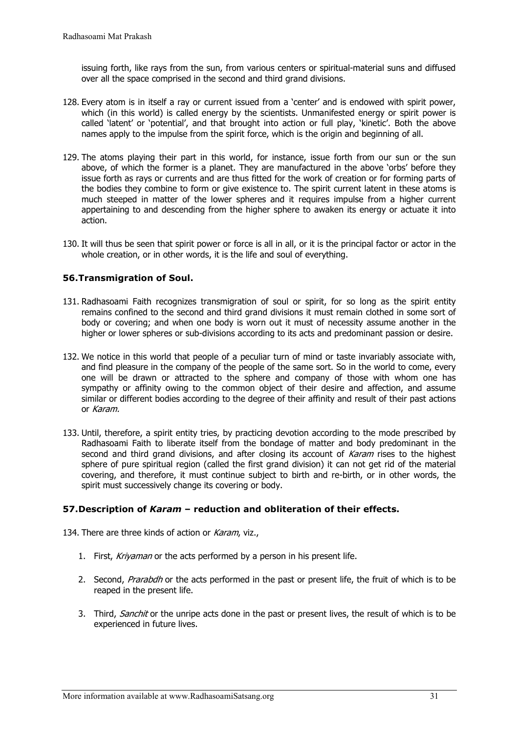issuing forth, like rays from the sun, from various centers or spiritual-material suns and diffused over all the space comprised in the second and third grand divisions.

- 128. Every atom is in itself a ray or current issued from a 'center' and is endowed with spirit power, which (in this world) is called energy by the scientists. Unmanifested energy or spirit power is called 'latent' or 'potential', and that brought into action or full play, 'kinetic'. Both the above names apply to the impulse from the spirit force, which is the origin and beginning of all.
- 129. The atoms playing their part in this world, for instance, issue forth from our sun or the sun above, of which the former is a planet. They are manufactured in the above 'orbs' before they issue forth as rays or currents and are thus fitted for the work of creation or for forming parts of the bodies they combine to form or give existence to. The spirit current latent in these atoms is much steeped in matter of the lower spheres and it requires impulse from a higher current appertaining to and descending from the higher sphere to awaken its energy or actuate it into action.
- 130. It will thus be seen that spirit power or force is all in all, or it is the principal factor or actor in the whole creation, or in other words, it is the life and soul of everything.

#### **56.Transmigration of Soul.**

- 131. Radhasoami Faith recognizes transmigration of soul or spirit, for so long as the spirit entity remains confined to the second and third grand divisions it must remain clothed in some sort of body or covering; and when one body is worn out it must of necessity assume another in the higher or lower spheres or sub-divisions according to its acts and predominant passion or desire.
- 132. We notice in this world that people of a peculiar turn of mind or taste invariably associate with, and find pleasure in the company of the people of the same sort. So in the world to come, every one will be drawn or attracted to the sphere and company of those with whom one has sympathy or affinity owing to the common object of their desire and affection, and assume similar or different bodies according to the degree of their affinity and result of their past actions or Karam.
- 133. Until, therefore, a spirit entity tries, by practicing devotion according to the mode prescribed by Radhasoami Faith to liberate itself from the bondage of matter and body predominant in the second and third grand divisions, and after closing its account of Karam rises to the highest sphere of pure spiritual region (called the first grand division) it can not get rid of the material covering, and therefore, it must continue subject to birth and re-birth, or in other words, the spirit must successively change its covering or body.

# **57.Description of** *Karam* **– reduction and obliteration of their effects.**

134. There are three kinds of action or Karam, viz.,

- 1. First, Kriyaman or the acts performed by a person in his present life.
- 2. Second, Prarabdh or the acts performed in the past or present life, the fruit of which is to be reaped in the present life.
- 3. Third, Sanchit or the unripe acts done in the past or present lives, the result of which is to be experienced in future lives.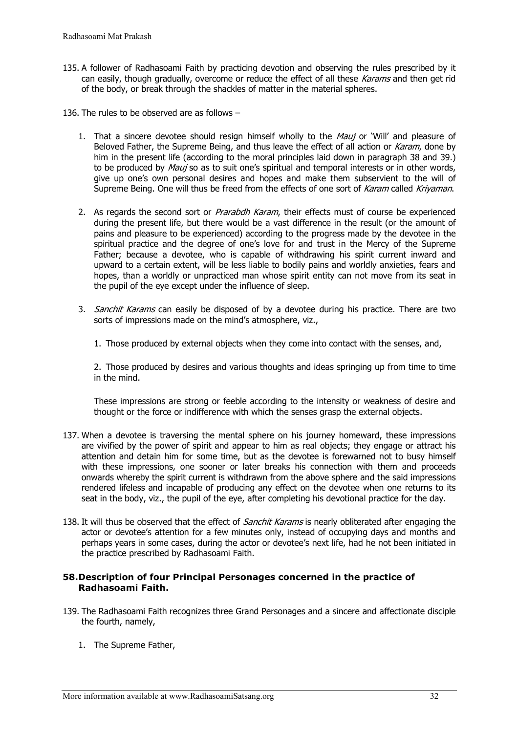- 135. A follower of Radhasoami Faith by practicing devotion and observing the rules prescribed by it can easily, though gradually, overcome or reduce the effect of all these *Karams* and then get rid of the body, or break through the shackles of matter in the material spheres.
- 136. The rules to be observed are as follows
	- 1. That a sincere devotee should resign himself wholly to the *Mauj* or 'Will' and pleasure of Beloved Father, the Supreme Being, and thus leave the effect of all action or Karam, done by him in the present life (according to the moral principles laid down in paragraph 38 and 39.) to be produced by Mauj so as to suit one's spiritual and temporal interests or in other words, give up one's own personal desires and hopes and make them subservient to the will of Supreme Being. One will thus be freed from the effects of one sort of Karam called Kriyaman.
	- 2. As regards the second sort or *Prarabdh Karam*, their effects must of course be experienced during the present life, but there would be a vast difference in the result (or the amount of pains and pleasure to be experienced) according to the progress made by the devotee in the spiritual practice and the degree of one's love for and trust in the Mercy of the Supreme Father; because a devotee, who is capable of withdrawing his spirit current inward and upward to a certain extent, will be less liable to bodily pains and worldly anxieties, fears and hopes, than a worldly or unpracticed man whose spirit entity can not move from its seat in the pupil of the eye except under the influence of sleep.
	- 3. Sanchit Karams can easily be disposed of by a devotee during his practice. There are two sorts of impressions made on the mind's atmosphere, viz.,
		- 1. Those produced by external objects when they come into contact with the senses, and,

2. Those produced by desires and various thoughts and ideas springing up from time to time in the mind.

These impressions are strong or feeble according to the intensity or weakness of desire and thought or the force or indifference with which the senses grasp the external objects.

- 137. When a devotee is traversing the mental sphere on his journey homeward, these impressions are vivified by the power of spirit and appear to him as real objects; they engage or attract his attention and detain him for some time, but as the devotee is forewarned not to busy himself with these impressions, one sooner or later breaks his connection with them and proceeds onwards whereby the spirit current is withdrawn from the above sphere and the said impressions rendered lifeless and incapable of producing any effect on the devotee when one returns to its seat in the body, viz., the pupil of the eye, after completing his devotional practice for the day.
- 138. It will thus be observed that the effect of *Sanchit Karams* is nearly obliterated after engaging the actor or devotee's attention for a few minutes only, instead of occupying days and months and perhaps years in some cases, during the actor or devotee's next life, had he not been initiated in the practice prescribed by Radhasoami Faith.

#### **58.Description of four Principal Personages concerned in the practice of Radhasoami Faith.**

- 139. The Radhasoami Faith recognizes three Grand Personages and a sincere and affectionate disciple the fourth, namely,
	- 1. The Supreme Father,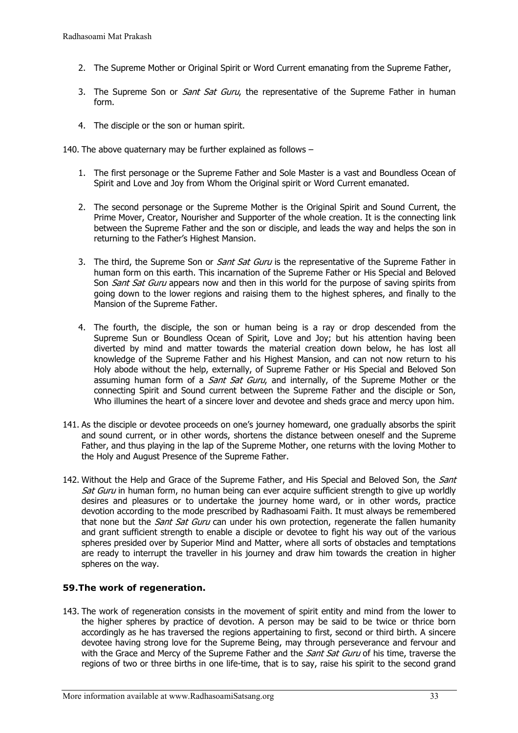- 2. The Supreme Mother or Original Spirit or Word Current emanating from the Supreme Father,
- 3. The Supreme Son or *Sant Sat Guru*, the representative of the Supreme Father in human form.
- 4. The disciple or the son or human spirit.

140. The above quaternary may be further explained as follows –

- 1. The first personage or the Supreme Father and Sole Master is a vast and Boundless Ocean of Spirit and Love and Joy from Whom the Original spirit or Word Current emanated.
- 2. The second personage or the Supreme Mother is the Original Spirit and Sound Current, the Prime Mover, Creator, Nourisher and Supporter of the whole creation. It is the connecting link between the Supreme Father and the son or disciple, and leads the way and helps the son in returning to the Father's Highest Mansion.
- 3. The third, the Supreme Son or *Sant Sat Guru* is the representative of the Supreme Father in human form on this earth. This incarnation of the Supreme Father or His Special and Beloved Son *Sant Sat Guru* appears now and then in this world for the purpose of saving spirits from going down to the lower regions and raising them to the highest spheres, and finally to the Mansion of the Supreme Father.
- 4. The fourth, the disciple, the son or human being is a ray or drop descended from the Supreme Sun or Boundless Ocean of Spirit, Love and Joy; but his attention having been diverted by mind and matter towards the material creation down below, he has lost all knowledge of the Supreme Father and his Highest Mansion, and can not now return to his Holy abode without the help, externally, of Supreme Father or His Special and Beloved Son assuming human form of a *Sant Sat Guru*, and internally, of the Supreme Mother or the connecting Spirit and Sound current between the Supreme Father and the disciple or Son, Who illumines the heart of a sincere lover and devotee and sheds grace and mercy upon him.
- 141. As the disciple or devotee proceeds on one's journey homeward, one gradually absorbs the spirit and sound current, or in other words, shortens the distance between oneself and the Supreme Father, and thus playing in the lap of the Supreme Mother, one returns with the loving Mother to the Holy and August Presence of the Supreme Father.
- 142. Without the Help and Grace of the Supreme Father, and His Special and Beloved Son, the Sant Sat Guru in human form, no human being can ever acquire sufficient strength to give up worldly desires and pleasures or to undertake the journey home ward, or in other words, practice devotion according to the mode prescribed by Radhasoami Faith. It must always be remembered that none but the *Sant Sat Guru* can under his own protection, regenerate the fallen humanity and grant sufficient strength to enable a disciple or devotee to fight his way out of the various spheres presided over by Superior Mind and Matter, where all sorts of obstacles and temptations are ready to interrupt the traveller in his journey and draw him towards the creation in higher spheres on the way.

# **59.The work of regeneration.**

143. The work of regeneration consists in the movement of spirit entity and mind from the lower to the higher spheres by practice of devotion. A person may be said to be twice or thrice born accordingly as he has traversed the regions appertaining to first, second or third birth. A sincere devotee having strong love for the Supreme Being, may through perseverance and fervour and with the Grace and Mercy of the Supreme Father and the *Sant Sat Guru* of his time, traverse the regions of two or three births in one life-time, that is to say, raise his spirit to the second grand